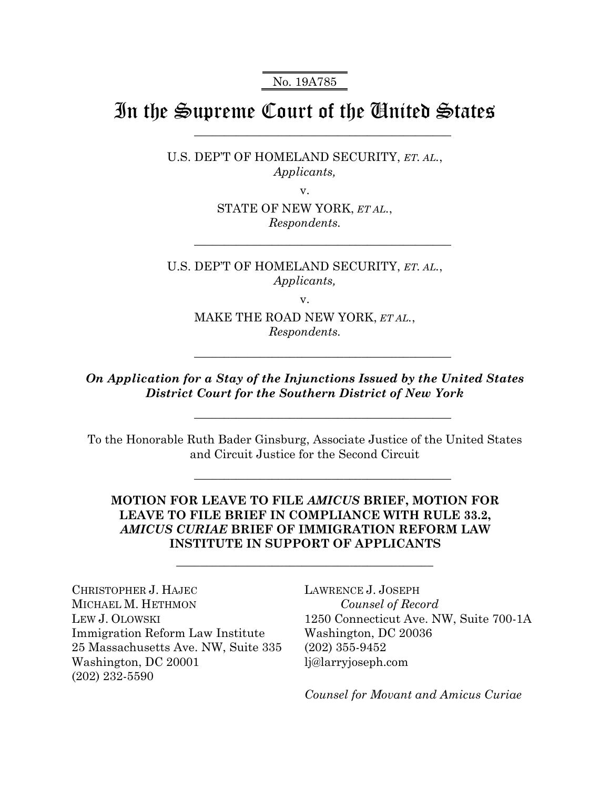No. 19A785

# In the Supreme Court of the United States

\_\_\_\_\_\_\_\_\_\_\_\_\_\_\_\_\_\_\_\_\_\_\_\_\_\_\_\_\_\_\_\_\_\_\_\_\_\_\_\_\_\_\_

\_\_\_\_\_\_\_\_\_\_\_\_\_\_\_\_\_\_\_\_\_\_\_\_\_\_\_\_\_\_\_\_\_\_\_\_\_\_\_\_\_\_\_

\_\_\_\_\_\_\_\_\_\_\_\_\_\_\_\_\_\_\_\_\_\_\_\_\_\_\_\_\_\_\_\_\_\_\_\_\_\_\_\_\_\_\_

\_\_\_\_\_\_\_\_\_\_\_\_\_\_\_\_\_\_\_\_\_\_\_\_\_\_\_\_\_\_\_\_\_\_\_\_\_\_\_\_\_\_\_

\_\_\_\_\_\_\_\_\_\_\_\_\_\_\_\_\_\_\_\_\_\_\_\_\_\_\_\_\_\_\_\_\_\_\_\_\_\_\_\_\_\_\_

U.S. DEP'T OF HOMELAND SECURITY, *ET. AL.*, *Applicants,* 

v.

STATE OF NEW YORK, *ET AL.*, *Respondents.* 

U.S. DEP'T OF HOMELAND SECURITY, *ET. AL.*, *Applicants,* 

v.

MAKE THE ROAD NEW YORK, *ET AL.*, *Respondents.* 

*On Application for a Stay of the Injunctions Issued by the United States District Court for the Southern District of New York* 

To the Honorable Ruth Bader Ginsburg, Associate Justice of the United States and Circuit Justice for the Second Circuit

# **MOTION FOR LEAVE TO FILE** *AMICUS* **BRIEF, MOTION FOR LEAVE TO FILE BRIEF IN COMPLIANCE WITH RULE 33.2,**  *AMICUS CURIAE* **BRIEF OF IMMIGRATION REFORM LAW INSTITUTE IN SUPPORT OF APPLICANTS**

\_\_\_\_\_\_\_\_\_\_\_\_\_\_\_\_\_\_\_\_\_\_\_\_\_\_\_\_\_\_\_\_\_\_\_\_\_\_\_\_\_\_\_

CHRISTOPHER J. HAJEC MICHAEL M. HETHMON LEW J. OLOWSKI Immigration Reform Law Institute 25 Massachusetts Ave. NW, Suite 335 Washington, DC 20001 (202) 232-5590

LAWRENCE J. JOSEPH *Counsel of Record* 1250 Connecticut Ave. NW, Suite 700-1A Washington, DC 20036 (202) 355-9452 lj@larryjoseph.com

*Counsel for Movant and Amicus Curiae*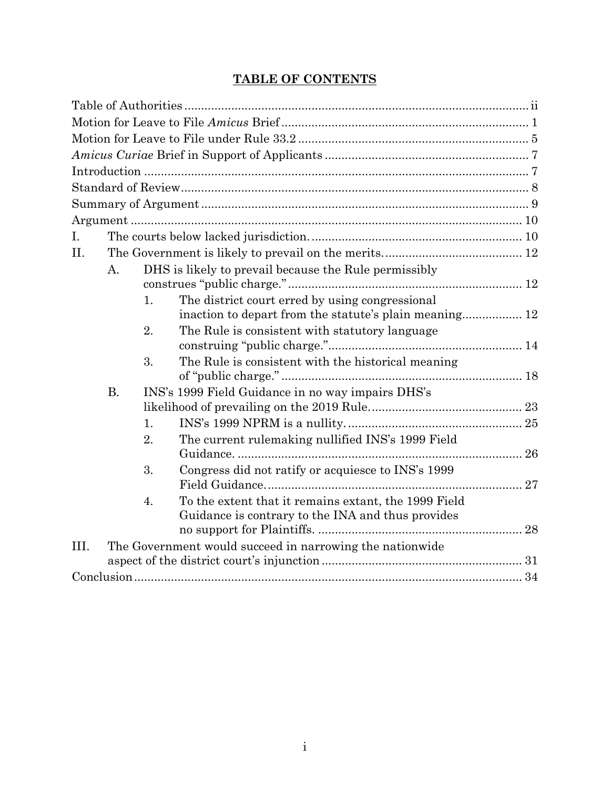# **TABLE OF CONTENTS**

| I.   |           |    |                                                                                                           |  |
|------|-----------|----|-----------------------------------------------------------------------------------------------------------|--|
| II.  |           |    |                                                                                                           |  |
|      | A.        |    | DHS is likely to prevail because the Rule permissibly                                                     |  |
|      |           | 1. | The district court erred by using congressional<br>inaction to depart from the statute's plain meaning 12 |  |
|      |           | 2. | The Rule is consistent with statutory language                                                            |  |
|      |           | 3. | The Rule is consistent with the historical meaning                                                        |  |
|      | <b>B.</b> |    | INS's 1999 Field Guidance in no way impairs DHS's                                                         |  |
|      |           | 1. |                                                                                                           |  |
|      |           | 2. | The current rulemaking nullified INS's 1999 Field                                                         |  |
|      |           |    |                                                                                                           |  |
|      |           | 3. | Congress did not ratify or acquiesce to INS's 1999                                                        |  |
|      |           | 4. | To the extent that it remains extant, the 1999 Field<br>Guidance is contrary to the INA and thus provides |  |
|      |           |    |                                                                                                           |  |
| III. |           |    | The Government would succeed in narrowing the nationwide                                                  |  |
|      |           |    |                                                                                                           |  |
|      |           |    |                                                                                                           |  |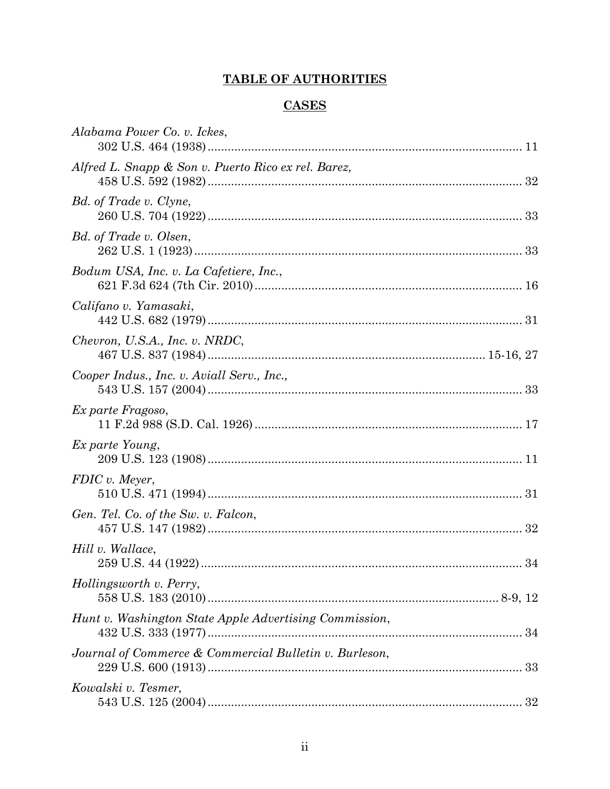# **TABLE OF AUTHORITIES**

# **CASES**

| Alabama Power Co. v. Ickes,                            |
|--------------------------------------------------------|
| Alfred L. Snapp & Son v. Puerto Rico ex rel. Barez,    |
| Bd. of Trade v. Clyne,                                 |
| Bd. of Trade v. Olsen,                                 |
| Bodum USA, Inc. v. La Cafetiere, Inc.,                 |
| Califano v. Yamasaki,                                  |
| Chevron, U.S.A., Inc. v. NRDC,                         |
| Cooper Indus., Inc. v. Aviall Serv., Inc.,             |
| Ex parte Fragoso,                                      |
| Ex parte Young,                                        |
| FDIC v. Meyer,                                         |
| Gen. Tel. Co. of the Sw. v. Falcon,                    |
| Hill v. Wallace,                                       |
| Hollingsworth v. Perry,                                |
| Hunt v. Washington State Apple Advertising Commission, |
| Journal of Commerce & Commercial Bulletin v. Burleson, |
| Kowalski v. Tesmer,                                    |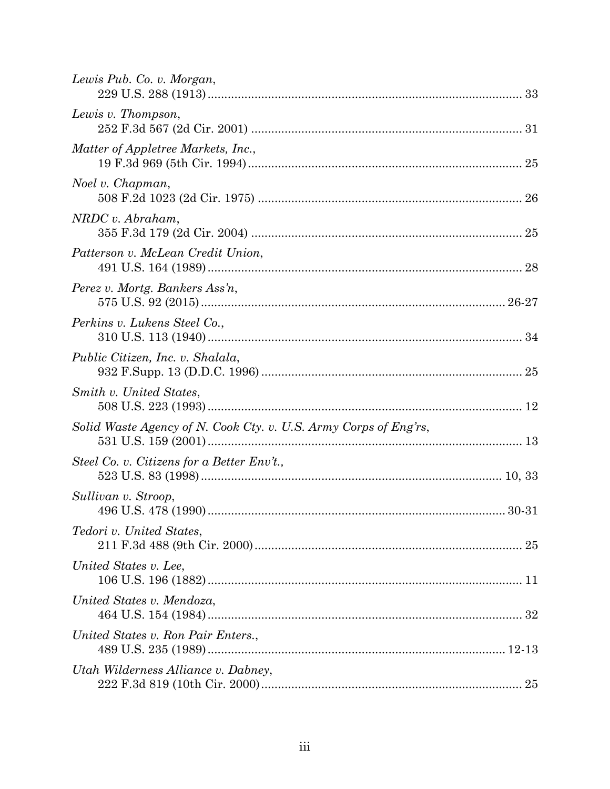| Lewis Pub. Co. v. Morgan,                                        |  |
|------------------------------------------------------------------|--|
| Lewis v. Thompson,                                               |  |
| Matter of Appletree Markets, Inc.,                               |  |
| Noel v. Chapman,                                                 |  |
| $NRDC$ v. Abraham,                                               |  |
| Patterson v. McLean Credit Union,                                |  |
| Perez v. Mortg. Bankers Ass'n,                                   |  |
| Perkins v. Lukens Steel Co.,                                     |  |
| Public Citizen, Inc. v. Shalala,                                 |  |
| Smith v. United States,                                          |  |
| Solid Waste Agency of N. Cook Cty. v. U.S. Army Corps of Eng'rs, |  |
| Steel Co. v. Citizens for a Better Env't.,                       |  |
| Sullivan v. Stroop,                                              |  |
| <i>Tedori v. United States,</i>                                  |  |
| United States v. Lee,                                            |  |
| United States v. Mendoza,                                        |  |
| United States v. Ron Pair Enters.,                               |  |
| Utah Wilderness Alliance v. Dabney,                              |  |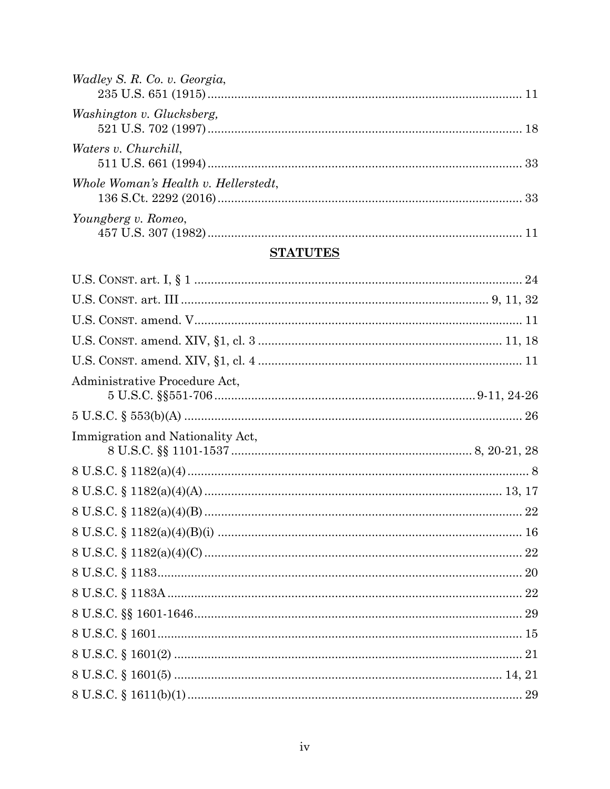| Wadley S. R. Co. v. Georgia,         |  |
|--------------------------------------|--|
| Washington v. Glucksberg,            |  |
| <i>Waters v. Churchill,</i>          |  |
| Whole Woman's Health v. Hellerstedt, |  |
| Youngberg v. Romeo,                  |  |

# **STATUTES**

| Administrative Procedure Act,    |  |
|----------------------------------|--|
|                                  |  |
| Immigration and Nationality Act, |  |
|                                  |  |
|                                  |  |
|                                  |  |
|                                  |  |
|                                  |  |
|                                  |  |
|                                  |  |
|                                  |  |
|                                  |  |
|                                  |  |
|                                  |  |
|                                  |  |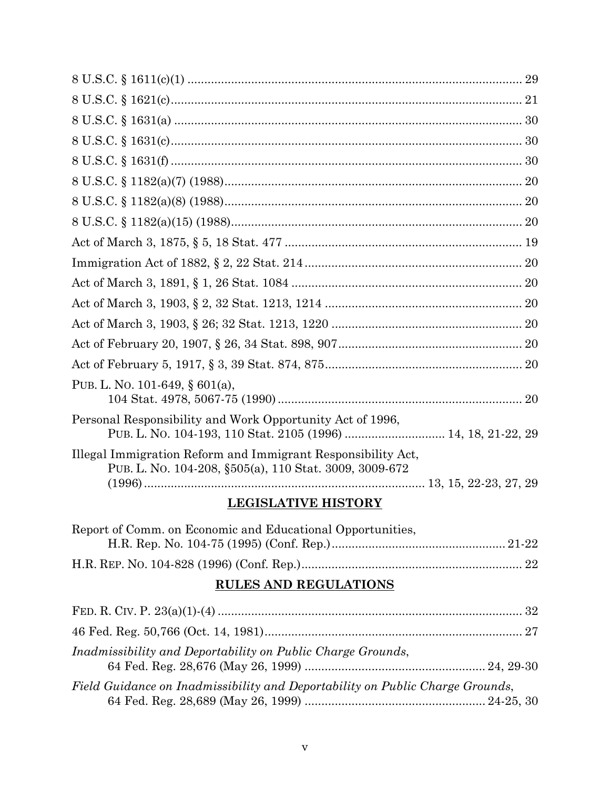| PUB. L. NO. 101-649, § 601(a),                                                                                             |
|----------------------------------------------------------------------------------------------------------------------------|
| Personal Responsibility and Work Opportunity Act of 1996,<br>PUB. L. NO. 104-193, 110 Stat. 2105 (1996)  14, 18, 21-22, 29 |
| Illegal Immigration Reform and Immigrant Responsibility Act,<br>PUB. L. No. 104-208, §505(a), 110 Stat. 3009, 3009-672     |
|                                                                                                                            |

# **LEGISLATIVE HISTORY**

| Report of Comm. on Economic and Educational Opportunities, |  |
|------------------------------------------------------------|--|
|                                                            |  |
|                                                            |  |

# **RULES AND REGULATIONS**

| Inadmissibility and Deportability on Public Charge Grounds,                   |  |
|-------------------------------------------------------------------------------|--|
| Field Guidance on Inadmissibility and Deportability on Public Charge Grounds, |  |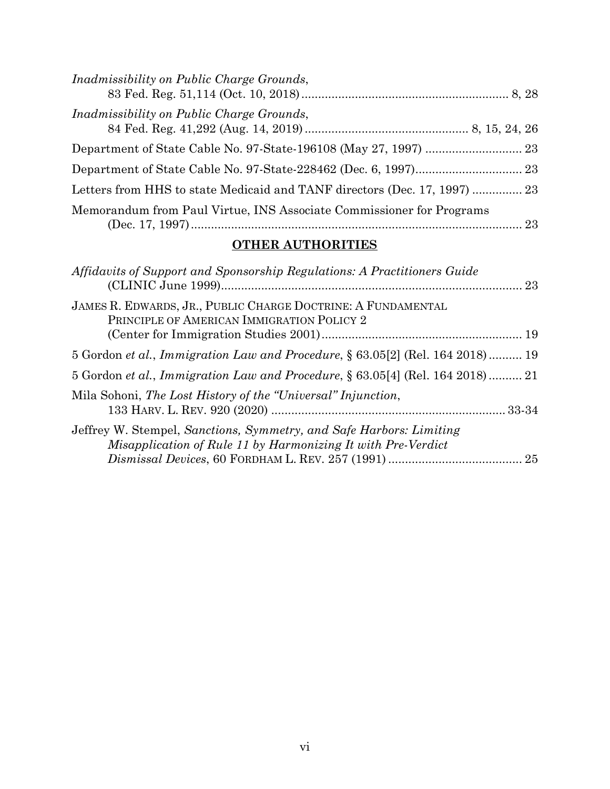| Inadmissibility on Public Charge Grounds,                                 |  |
|---------------------------------------------------------------------------|--|
| <i>Inadmissibility on Public Charge Grounds,</i>                          |  |
|                                                                           |  |
|                                                                           |  |
| Letters from HHS to state Medicaid and TANF directors (Dec. 17, 1997)  23 |  |
| Memorandum from Paul Virtue, INS Associate Commissioner for Programs      |  |

# **OTHER AUTHORITIES**

| Affidavits of Support and Sponsorship Regulations: A Practitioners Guide                                                            |  |
|-------------------------------------------------------------------------------------------------------------------------------------|--|
| JAMES R. EDWARDS, JR., PUBLIC CHARGE DOCTRINE: A FUNDAMENTAL<br>PRINCIPLE OF AMERICAN IMMIGRATION POLICY 2                          |  |
| 5 Gordon et al., Immigration Law and Procedure, § 63.05[2] (Rel. 164 2018) 19                                                       |  |
| 5 Gordon et al., Immigration Law and Procedure, § 63.05[4] (Rel. 164 2018)  21                                                      |  |
| Mila Sohoni, The Lost History of the "Universal" Injunction,                                                                        |  |
| Jeffrey W. Stempel, Sanctions, Symmetry, and Safe Harbors: Limiting<br>Misapplication of Rule 11 by Harmonizing It with Pre-Verdict |  |
|                                                                                                                                     |  |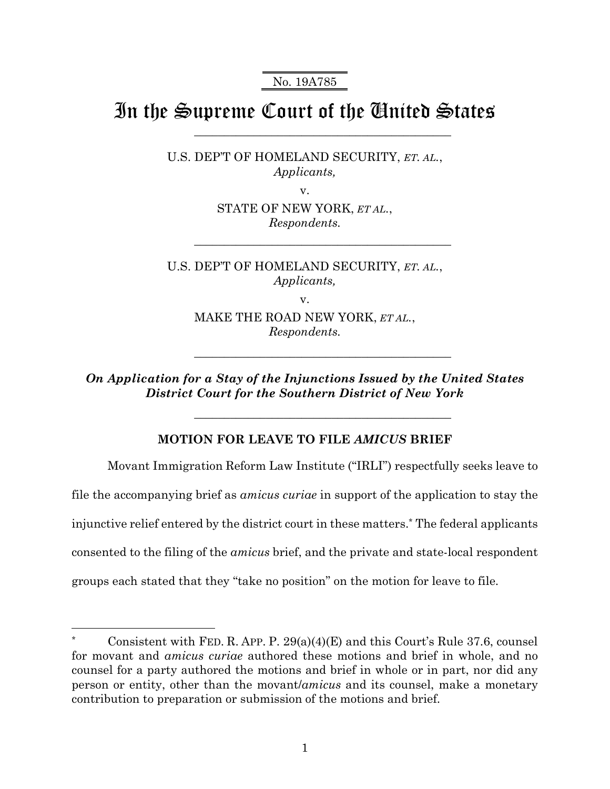No. 19A785

# In the Supreme Court of the United States

\_\_\_\_\_\_\_\_\_\_\_\_\_\_\_\_\_\_\_\_\_\_\_\_\_\_\_\_\_\_\_\_\_\_\_\_\_\_\_\_\_\_\_

\_\_\_\_\_\_\_\_\_\_\_\_\_\_\_\_\_\_\_\_\_\_\_\_\_\_\_\_\_\_\_\_\_\_\_\_\_\_\_\_\_\_\_

\_\_\_\_\_\_\_\_\_\_\_\_\_\_\_\_\_\_\_\_\_\_\_\_\_\_\_\_\_\_\_\_\_\_\_\_\_\_\_\_\_\_\_

\_\_\_\_\_\_\_\_\_\_\_\_\_\_\_\_\_\_\_\_\_\_\_\_\_\_\_\_\_\_\_\_\_\_\_\_\_\_\_\_\_\_\_

U.S. DEP'T OF HOMELAND SECURITY, *ET. AL.*, *Applicants,* 

v.

STATE OF NEW YORK, *ET AL.*, *Respondents.* 

U.S. DEP'T OF HOMELAND SECURITY, *ET. AL.*, *Applicants,* 

v.

MAKE THE ROAD NEW YORK, *ET AL.*, *Respondents.* 

*On Application for a Stay of the Injunctions Issued by the United States District Court for the Southern District of New York* 

### **MOTION FOR LEAVE TO FILE** *AMICUS* **BRIEF**

Movant Immigration Reform Law Institute ("IRLI") respectfully seeks leave to file the accompanying brief as *amicus curiae* in support of the application to stay the injunctive relief entered by the district court in these matters.\* The federal applicants consented to the filing of the *amicus* brief, and the private and state-local respondent groups each stated that they "take no position" on the motion for leave to file.

Consistent with FED. R. APP. P.  $29(a)(4)(E)$  and this Court's Rule 37.6, counsel for movant and *amicus curiae* authored these motions and brief in whole, and no counsel for a party authored the motions and brief in whole or in part, nor did any person or entity, other than the movant/*amicus* and its counsel, make a monetary contribution to preparation or submission of the motions and brief.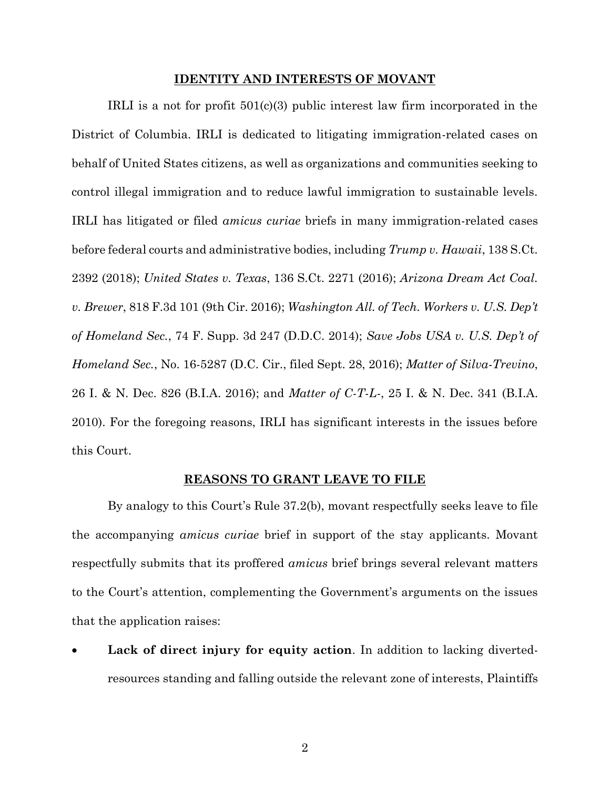#### **IDENTITY AND INTERESTS OF MOVANT**

IRLI is a not for profit 501(c)(3) public interest law firm incorporated in the District of Columbia. IRLI is dedicated to litigating immigration-related cases on behalf of United States citizens, as well as organizations and communities seeking to control illegal immigration and to reduce lawful immigration to sustainable levels. IRLI has litigated or filed *amicus curiae* briefs in many immigration-related cases before federal courts and administrative bodies, including *Trump v. Hawaii*, 138 S.Ct. 2392 (2018); *United States v. Texas*, 136 S.Ct. 2271 (2016); *Arizona Dream Act Coal. v. Brewer*, 818 F.3d 101 (9th Cir. 2016); *Washington All. of Tech. Workers v. U.S. Dep't of Homeland Sec.*, 74 F. Supp. 3d 247 (D.D.C. 2014); *Save Jobs USA v. U.S. Dep't of Homeland Sec.*, No. 16-5287 (D.C. Cir., filed Sept. 28, 2016); *Matter of Silva-Trevino*, 26 I. & N. Dec. 826 (B.I.A. 2016); and *Matter of C-T-L-*, 25 I. & N. Dec. 341 (B.I.A. 2010). For the foregoing reasons, IRLI has significant interests in the issues before this Court.

#### **REASONS TO GRANT LEAVE TO FILE**

By analogy to this Court's Rule 37.2(b), movant respectfully seeks leave to file the accompanying *amicus curiae* brief in support of the stay applicants. Movant respectfully submits that its proffered *amicus* brief brings several relevant matters to the Court's attention, complementing the Government's arguments on the issues that the application raises:

Lack of direct injury for equity action. In addition to lacking divertedresources standing and falling outside the relevant zone of interests, Plaintiffs

2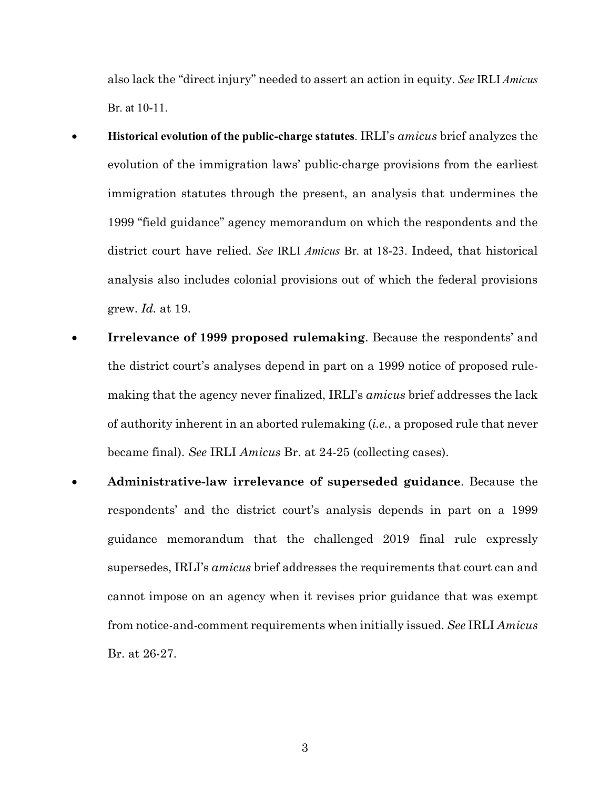also lack the "direct injury" needed to assert an action in equity. *See* IRLI *Amicus* Br. at 10-11.

- x **Historical evolution of the public-charge statutes**. IRLI's *amicus* brief analyzes the evolution of the immigration laws' public-charge provisions from the earliest immigration statutes through the present, an analysis that undermines the 1999 "field guidance" agency memorandum on which the respondents and the district court have relied. *See* IRLI *Amicus* Br. at 18-23. Indeed, that historical analysis also includes colonial provisions out of which the federal provisions grew. *Id.* at 19.
- **Irrelevance of 1999 proposed rulemaking.** Because the respondents' and the district court's analyses depend in part on a 1999 notice of proposed rulemaking that the agency never finalized, IRLI's *amicus* brief addresses the lack of authority inherent in an aborted rulemaking (*i.e.*, a proposed rule that never became final). *See* IRLI *Amicus* Br. at 24-25 (collecting cases).
- x **Administrative-law irrelevance of superseded guidance**. Because the respondents' and the district court's analysis depends in part on a 1999 guidance memorandum that the challenged 2019 final rule expressly supersedes, IRLI's *amicus* brief addresses the requirements that court can and cannot impose on an agency when it revises prior guidance that was exempt from notice-and-comment requirements when initially issued. *See* IRLI *Amicus* Br. at 26-27.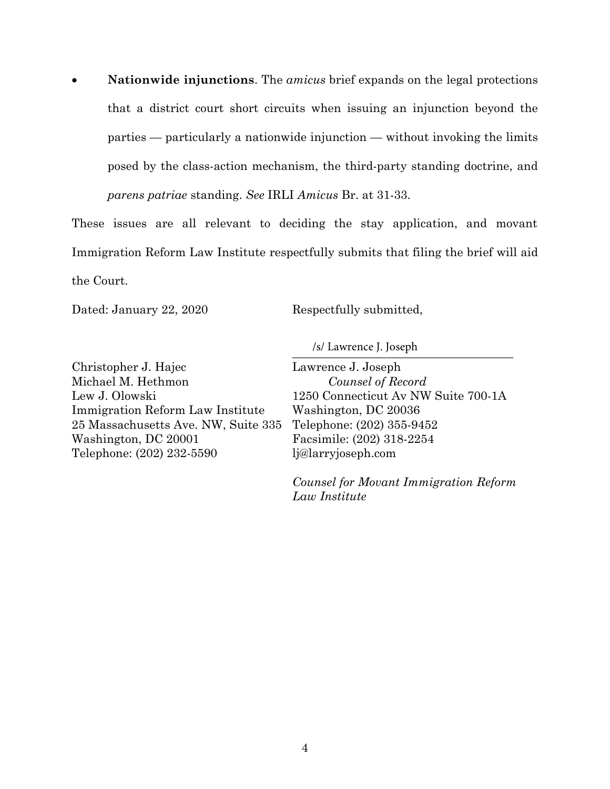x **Nationwide injunctions**. The *amicus* brief expands on the legal protections that a district court short circuits when issuing an injunction beyond the parties — particularly a nationwide injunction — without invoking the limits posed by the class-action mechanism, the third-party standing doctrine, and *parens patriae* standing. *See* IRLI *Amicus* Br. at 31-33.

These issues are all relevant to deciding the stay application, and movant Immigration Reform Law Institute respectfully submits that filing the brief will aid the Court.

Dated: January 22, 2020

Respectfully submitted,

 $\frac{1}{2}$  Lawrence J. Joseph /s/ Lawrence J. Joseph

Christopher J. Hajec Michael M. Hethmon Lew J. Olowski Immigration Reform Law Institute 25 Massachusetts Ave. NW, Suite 335 Washington, DC 20001 Telephone: (202) 232-5590

Lawrence J. Joseph *Counsel of Record* 1250 Connecticut Av NW Suite 700-1A Washington, DC 20036 Telephone: (202) 355-9452 Facsimile: (202) 318-2254 lj@larryjoseph.com

*Counsel for Movant Immigration Reform Law Institute*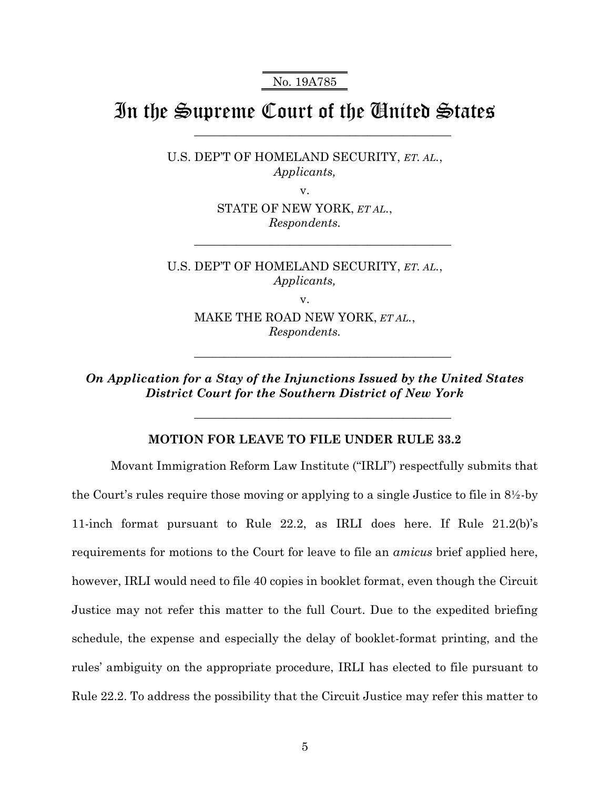No. 19A785

# In the Supreme Court of the United States

\_\_\_\_\_\_\_\_\_\_\_\_\_\_\_\_\_\_\_\_\_\_\_\_\_\_\_\_\_\_\_\_\_\_\_\_\_\_\_\_\_\_\_

\_\_\_\_\_\_\_\_\_\_\_\_\_\_\_\_\_\_\_\_\_\_\_\_\_\_\_\_\_\_\_\_\_\_\_\_\_\_\_\_\_\_\_

\_\_\_\_\_\_\_\_\_\_\_\_\_\_\_\_\_\_\_\_\_\_\_\_\_\_\_\_\_\_\_\_\_\_\_\_\_\_\_\_\_\_\_

\_\_\_\_\_\_\_\_\_\_\_\_\_\_\_\_\_\_\_\_\_\_\_\_\_\_\_\_\_\_\_\_\_\_\_\_\_\_\_\_\_\_\_

U.S. DEP'T OF HOMELAND SECURITY, *ET. AL.*, *Applicants,* 

v.

STATE OF NEW YORK, *ET AL.*, *Respondents.* 

U.S. DEP'T OF HOMELAND SECURITY, *ET. AL.*, *Applicants,* 

v.

MAKE THE ROAD NEW YORK, *ET AL.*, *Respondents.* 

*On Application for a Stay of the Injunctions Issued by the United States District Court for the Southern District of New York* 

### **MOTION FOR LEAVE TO FILE UNDER RULE 33.2**

 Movant Immigration Reform Law Institute ("IRLI") respectfully submits that the Court's rules require those moving or applying to a single Justice to file in 8½-by 11-inch format pursuant to Rule 22.2, as IRLI does here. If Rule 21.2(b)'s requirements for motions to the Court for leave to file an *amicus* brief applied here, however, IRLI would need to file 40 copies in booklet format, even though the Circuit Justice may not refer this matter to the full Court. Due to the expedited briefing schedule, the expense and especially the delay of booklet-format printing, and the rules' ambiguity on the appropriate procedure, IRLI has elected to file pursuant to Rule 22.2. To address the possibility that the Circuit Justice may refer this matter to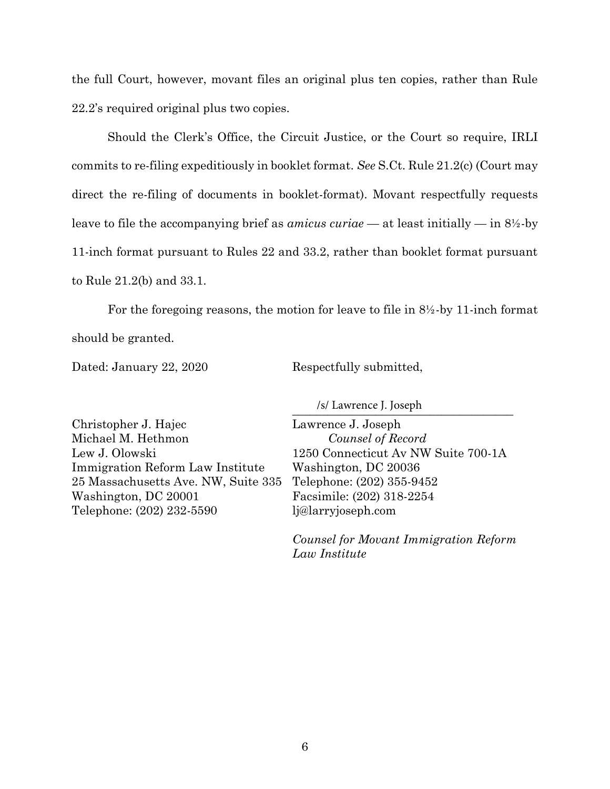the full Court, however, movant files an original plus ten copies, rather than Rule 22.2's required original plus two copies.

Should the Clerk's Office, the Circuit Justice, or the Court so require, IRLI commits to re-filing expeditiously in booklet format. *See* S.Ct. Rule 21.2(c) (Court may direct the re-filing of documents in booklet-format). Movant respectfully requests leave to file the accompanying brief as *amicus curiae* — at least initially — in 8½-by 11-inch format pursuant to Rules 22 and 33.2, rather than booklet format pursuant to Rule 21.2(b) and 33.1.

For the foregoing reasons, the motion for leave to file in 8½-by 11-inch format should be granted.

Dated: January 22, 2020

Respectfully submitted,

\_\_\_\_\_\_\_\_\_\_\_\_\_\_\_\_\_\_\_\_\_\_\_\_\_\_\_\_\_\_\_\_\_\_\_\_\_ /s/ Lawrence J. Joseph

Christopher J. Hajec Michael M. Hethmon Lew J. Olowski Immigration Reform Law Institute 25 Massachusetts Ave. NW, Suite 335 Washington, DC 20001 Telephone: (202) 232-5590

Lawrence J. Joseph *Counsel of Record* 1250 Connecticut Av NW Suite 700-1A Washington, DC 20036 Telephone: (202) 355-9452 Facsimile: (202) 318-2254 lj@larryjoseph.com

*Counsel for Movant Immigration Reform Law Institute*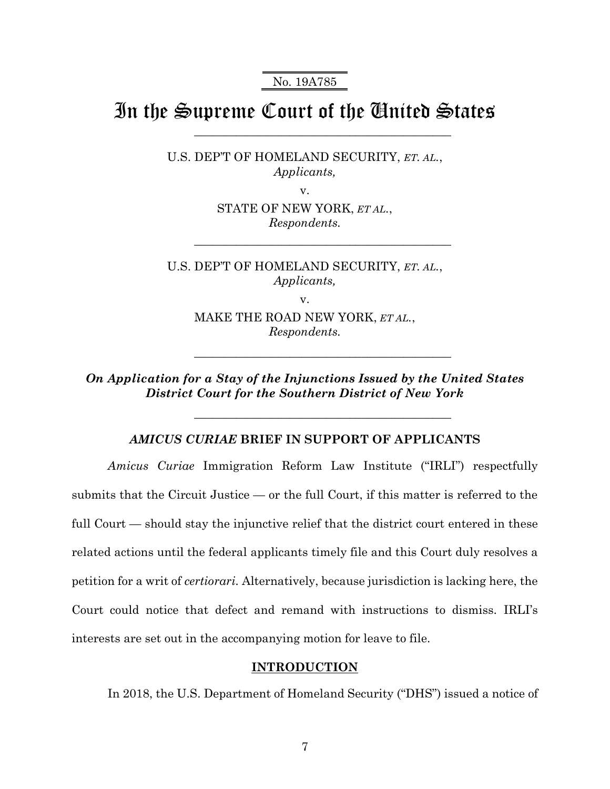No. 19A785

# In the Supreme Court of the United States

\_\_\_\_\_\_\_\_\_\_\_\_\_\_\_\_\_\_\_\_\_\_\_\_\_\_\_\_\_\_\_\_\_\_\_\_\_\_\_\_\_\_\_

\_\_\_\_\_\_\_\_\_\_\_\_\_\_\_\_\_\_\_\_\_\_\_\_\_\_\_\_\_\_\_\_\_\_\_\_\_\_\_\_\_\_\_

\_\_\_\_\_\_\_\_\_\_\_\_\_\_\_\_\_\_\_\_\_\_\_\_\_\_\_\_\_\_\_\_\_\_\_\_\_\_\_\_\_\_\_

\_\_\_\_\_\_\_\_\_\_\_\_\_\_\_\_\_\_\_\_\_\_\_\_\_\_\_\_\_\_\_\_\_\_\_\_\_\_\_\_\_\_\_

U.S. DEP'T OF HOMELAND SECURITY, *ET. AL.*, *Applicants,* 

v.

STATE OF NEW YORK, *ET AL.*, *Respondents.* 

U.S. DEP'T OF HOMELAND SECURITY, *ET. AL.*, *Applicants,* 

v.

MAKE THE ROAD NEW YORK, *ET AL.*, *Respondents.* 

*On Application for a Stay of the Injunctions Issued by the United States District Court for the Southern District of New York* 

### *AMICUS CURIAE* **BRIEF IN SUPPORT OF APPLICANTS**

*Amicus Curiae* Immigration Reform Law Institute ("IRLI") respectfully submits that the Circuit Justice — or the full Court, if this matter is referred to the full Court — should stay the injunctive relief that the district court entered in these related actions until the federal applicants timely file and this Court duly resolves a petition for a writ of *certiorari.* Alternatively, because jurisdiction is lacking here, the Court could notice that defect and remand with instructions to dismiss. IRLI's interests are set out in the accompanying motion for leave to file.

#### **INTRODUCTION**

In 2018, the U.S. Department of Homeland Security ("DHS") issued a notice of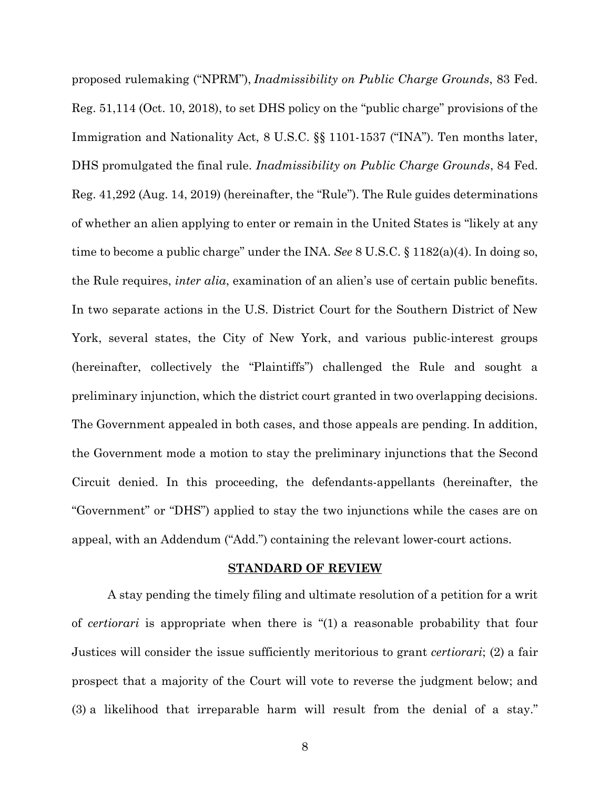proposed rulemaking ("NPRM"), *Inadmissibility on Public Charge Grounds*, 83 Fed. Reg. 51,114 (Oct. 10, 2018), to set DHS policy on the "public charge" provisions of the Immigration and Nationality Act, 8 U.S.C. §§ 1101-1537 ("INA"). Ten months later, DHS promulgated the final rule. *Inadmissibility on Public Charge Grounds*, 84 Fed. Reg. 41,292 (Aug. 14, 2019) (hereinafter, the "Rule"). The Rule guides determinations of whether an alien applying to enter or remain in the United States is "likely at any time to become a public charge" under the INA. *See* 8 U.S.C. § 1182(a)(4). In doing so, the Rule requires, *inter alia*, examination of an alien's use of certain public benefits. In two separate actions in the U.S. District Court for the Southern District of New York, several states, the City of New York, and various public-interest groups (hereinafter, collectively the "Plaintiffs") challenged the Rule and sought a preliminary injunction, which the district court granted in two overlapping decisions. The Government appealed in both cases, and those appeals are pending. In addition, the Government mode a motion to stay the preliminary injunctions that the Second Circuit denied. In this proceeding, the defendants-appellants (hereinafter, the "Government" or "DHS") applied to stay the two injunctions while the cases are on appeal, with an Addendum ("Add.") containing the relevant lower-court actions.

#### **STANDARD OF REVIEW**

A stay pending the timely filing and ultimate resolution of a petition for a writ of *certiorari* is appropriate when there is "(1) a reasonable probability that four Justices will consider the issue sufficiently meritorious to grant *certiorari*; (2) a fair prospect that a majority of the Court will vote to reverse the judgment below; and (3) a likelihood that irreparable harm will result from the denial of a stay."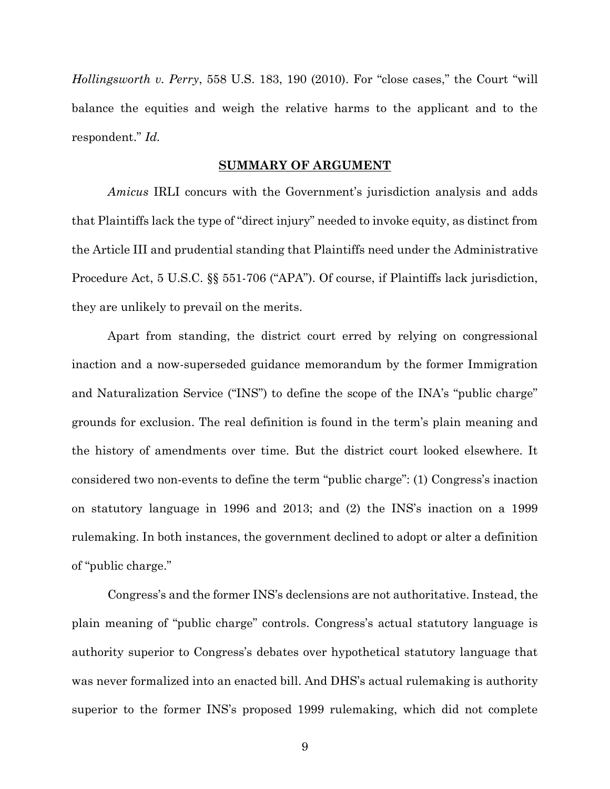*Hollingsworth v. Perry*, 558 U.S. 183, 190 (2010). For "close cases," the Court "will balance the equities and weigh the relative harms to the applicant and to the respondent." *Id.*

#### **SUMMARY OF ARGUMENT**

*Amicus* IRLI concurs with the Government's jurisdiction analysis and adds that Plaintiffs lack the type of "direct injury" needed to invoke equity, as distinct from the Article III and prudential standing that Plaintiffs need under the Administrative Procedure Act, 5 U.S.C. §§ 551-706 ("APA"). Of course, if Plaintiffs lack jurisdiction, they are unlikely to prevail on the merits.

Apart from standing, the district court erred by relying on congressional inaction and a now-superseded guidance memorandum by the former Immigration and Naturalization Service ("INS") to define the scope of the INA's "public charge" grounds for exclusion. The real definition is found in the term's plain meaning and the history of amendments over time. But the district court looked elsewhere. It considered two non-events to define the term "public charge": (1) Congress's inaction on statutory language in 1996 and 2013; and (2) the INS's inaction on a 1999 rulemaking. In both instances, the government declined to adopt or alter a definition of "public charge."

Congress's and the former INS's declensions are not authoritative. Instead, the plain meaning of "public charge" controls. Congress's actual statutory language is authority superior to Congress's debates over hypothetical statutory language that was never formalized into an enacted bill. And DHS's actual rulemaking is authority superior to the former INS's proposed 1999 rulemaking, which did not complete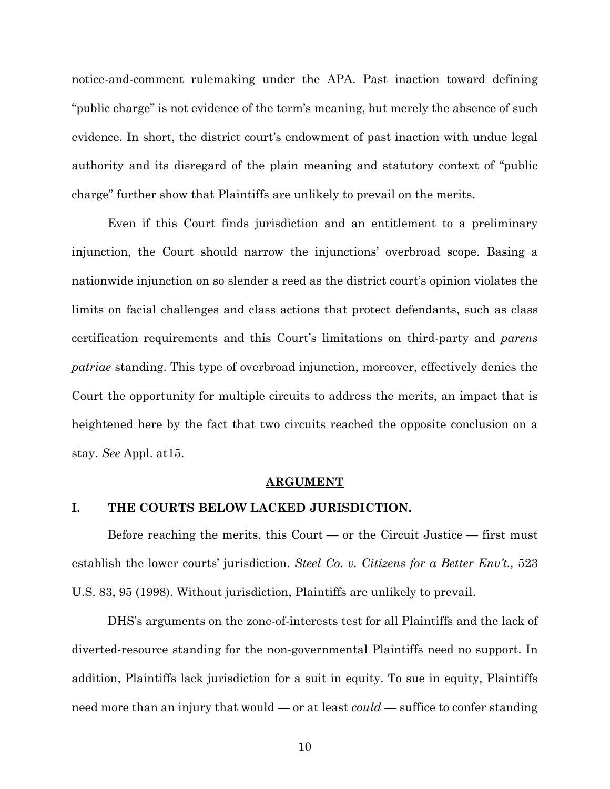notice-and-comment rulemaking under the APA. Past inaction toward defining "public charge" is not evidence of the term's meaning, but merely the absence of such evidence. In short, the district court's endowment of past inaction with undue legal authority and its disregard of the plain meaning and statutory context of "public charge" further show that Plaintiffs are unlikely to prevail on the merits.

Even if this Court finds jurisdiction and an entitlement to a preliminary injunction, the Court should narrow the injunctions' overbroad scope. Basing a nationwide injunction on so slender a reed as the district court's opinion violates the limits on facial challenges and class actions that protect defendants, such as class certification requirements and this Court's limitations on third-party and *parens patriae* standing. This type of overbroad injunction, moreover, effectively denies the Court the opportunity for multiple circuits to address the merits, an impact that is heightened here by the fact that two circuits reached the opposite conclusion on a stay. *See* Appl. at15.

#### **ARGUMENT**

#### **I. THE COURTS BELOW LACKED JURISDICTION.**

Before reaching the merits, this Court — or the Circuit Justice — first must establish the lower courts' jurisdiction. *Steel Co. v. Citizens for a Better Env't.,* 523 U.S. 83, 95 (1998). Without jurisdiction, Plaintiffs are unlikely to prevail.

DHS's arguments on the zone-of-interests test for all Plaintiffs and the lack of diverted-resource standing for the non-governmental Plaintiffs need no support. In addition, Plaintiffs lack jurisdiction for a suit in equity. To sue in equity, Plaintiffs need more than an injury that would — or at least *could* — suffice to confer standing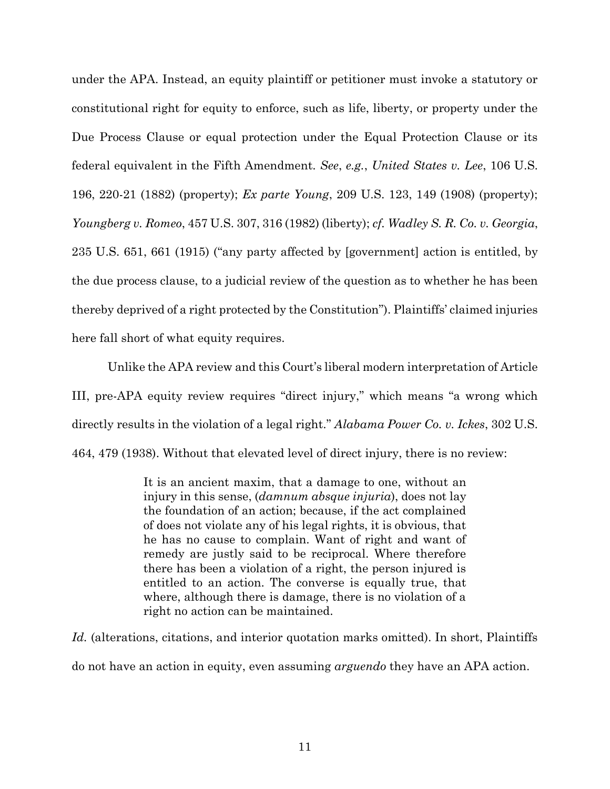under the APA. Instead, an equity plaintiff or petitioner must invoke a statutory or constitutional right for equity to enforce, such as life, liberty, or property under the Due Process Clause or equal protection under the Equal Protection Clause or its federal equivalent in the Fifth Amendment. *See*, *e.g.*, *United States v. Lee*, 106 U.S. 196, 220-21 (1882) (property); *Ex parte Young*, 209 U.S. 123, 149 (1908) (property); *Youngberg v. Romeo*, 457 U.S. 307, 316 (1982) (liberty); *cf. Wadley S. R. Co. v. Georgia*, 235 U.S. 651, 661 (1915) ("any party affected by [government] action is entitled, by the due process clause, to a judicial review of the question as to whether he has been thereby deprived of a right protected by the Constitution"). Plaintiffs' claimed injuries here fall short of what equity requires.

Unlike the APA review and this Court's liberal modern interpretation of Article III, pre-APA equity review requires "direct injury," which means "a wrong which directly results in the violation of a legal right." *Alabama Power Co. v. Ickes*, 302 U.S. 464, 479 (1938). Without that elevated level of direct injury, there is no review:

> It is an ancient maxim, that a damage to one, without an injury in this sense, (*damnum absque injuria*), does not lay the foundation of an action; because, if the act complained of does not violate any of his legal rights, it is obvious, that he has no cause to complain. Want of right and want of remedy are justly said to be reciprocal. Where therefore there has been a violation of a right, the person injured is entitled to an action. The converse is equally true, that where, although there is damage, there is no violation of a right no action can be maintained.

Id. (alterations, citations, and interior quotation marks omitted). In short, Plaintiffs do not have an action in equity, even assuming *arguendo* they have an APA action.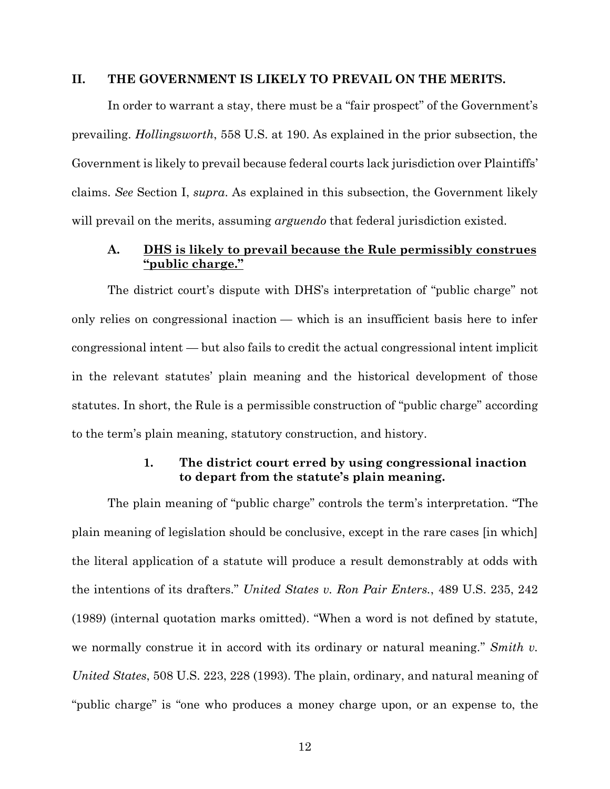#### **II. THE GOVERNMENT IS LIKELY TO PREVAIL ON THE MERITS.**

In order to warrant a stay, there must be a "fair prospect" of the Government's prevailing. *Hollingsworth*, 558 U.S. at 190. As explained in the prior subsection, the Government is likely to prevail because federal courts lack jurisdiction over Plaintiffs' claims. *See* Section I, *supra*. As explained in this subsection, the Government likely will prevail on the merits, assuming *arguendo* that federal jurisdiction existed.

## **A. DHS is likely to prevail because the Rule permissibly construes "public charge."**

The district court's dispute with DHS's interpretation of "public charge" not only relies on congressional inaction — which is an insufficient basis here to infer congressional intent — but also fails to credit the actual congressional intent implicit in the relevant statutes' plain meaning and the historical development of those statutes. In short, the Rule is a permissible construction of "public charge" according to the term's plain meaning, statutory construction, and history.

## **1. The district court erred by using congressional inaction to depart from the statute's plain meaning.**

The plain meaning of "public charge" controls the term's interpretation. "The plain meaning of legislation should be conclusive, except in the rare cases [in which] the literal application of a statute will produce a result demonstrably at odds with the intentions of its drafters." *United States v. Ron Pair Enters.*, 489 U.S. 235, 242 (1989) (internal quotation marks omitted). "When a word is not defined by statute, we normally construe it in accord with its ordinary or natural meaning." *Smith v. United States*, 508 U.S. 223, 228 (1993). The plain, ordinary, and natural meaning of "public charge" is "one who produces a money charge upon, or an expense to, the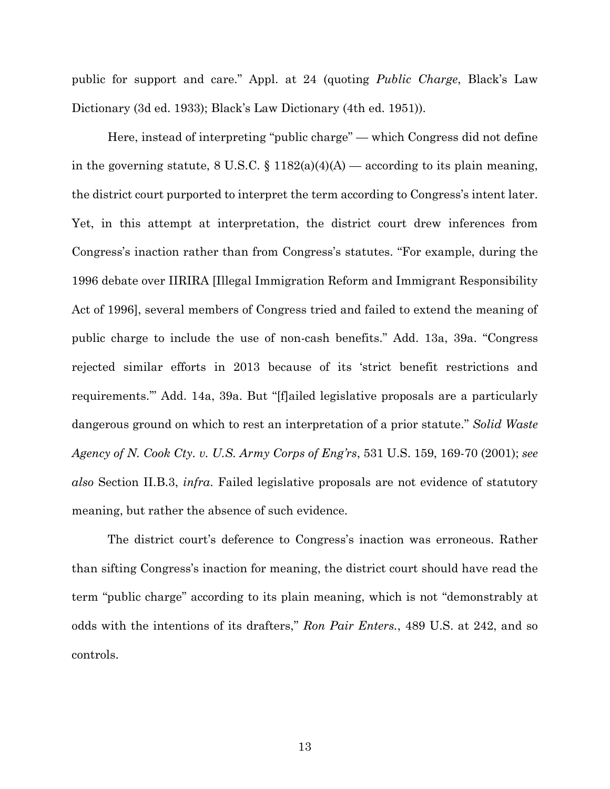public for support and care." Appl. at 24 (quoting *Public Charge*, Black's Law Dictionary (3d ed. 1933); Black's Law Dictionary (4th ed. 1951)).

Here, instead of interpreting "public charge" — which Congress did not define in the governing statute, 8 U.S.C.  $\S$  1182(a)(4)(A) — according to its plain meaning, the district court purported to interpret the term according to Congress's intent later. Yet, in this attempt at interpretation, the district court drew inferences from Congress's inaction rather than from Congress's statutes. "For example, during the 1996 debate over IIRIRA [Illegal Immigration Reform and Immigrant Responsibility Act of 1996], several members of Congress tried and failed to extend the meaning of public charge to include the use of non-cash benefits." Add. 13a, 39a. "Congress rejected similar efforts in 2013 because of its 'strict benefit restrictions and requirements.'" Add. 14a, 39a. But "[f]ailed legislative proposals are a particularly dangerous ground on which to rest an interpretation of a prior statute." *Solid Waste Agency of N. Cook Cty. v. U.S. Army Corps of Eng'rs*, 531 U.S. 159, 169-70 (2001); *see also* Section II.B.3, *infra*. Failed legislative proposals are not evidence of statutory meaning, but rather the absence of such evidence.

The district court's deference to Congress's inaction was erroneous. Rather than sifting Congress's inaction for meaning, the district court should have read the term "public charge" according to its plain meaning, which is not "demonstrably at odds with the intentions of its drafters," *Ron Pair Enters.*, 489 U.S. at 242, and so controls.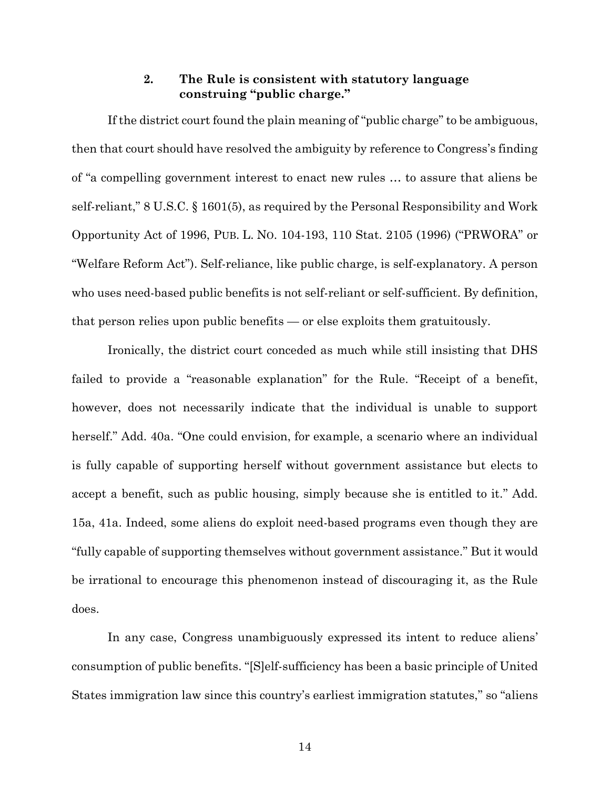# **2. The Rule is consistent with statutory language construing "public charge."**

If the district court found the plain meaning of "public charge" to be ambiguous, then that court should have resolved the ambiguity by reference to Congress's finding of "a compelling government interest to enact new rules … to assure that aliens be self-reliant," 8 U.S.C. § 1601(5), as required by the Personal Responsibility and Work Opportunity Act of 1996, PUB. L. NO. 104-193, 110 Stat. 2105 (1996) ("PRWORA" or "Welfare Reform Act"). Self-reliance, like public charge, is self-explanatory. A person who uses need-based public benefits is not self-reliant or self-sufficient. By definition, that person relies upon public benefits — or else exploits them gratuitously.

Ironically, the district court conceded as much while still insisting that DHS failed to provide a "reasonable explanation" for the Rule. "Receipt of a benefit, however, does not necessarily indicate that the individual is unable to support herself." Add. 40a. "One could envision, for example, a scenario where an individual is fully capable of supporting herself without government assistance but elects to accept a benefit, such as public housing, simply because she is entitled to it." Add. 15a, 41a. Indeed, some aliens do exploit need-based programs even though they are "fully capable of supporting themselves without government assistance." But it would be irrational to encourage this phenomenon instead of discouraging it, as the Rule does.

In any case, Congress unambiguously expressed its intent to reduce aliens' consumption of public benefits. "[S]elf-sufficiency has been a basic principle of United States immigration law since this country's earliest immigration statutes," so "aliens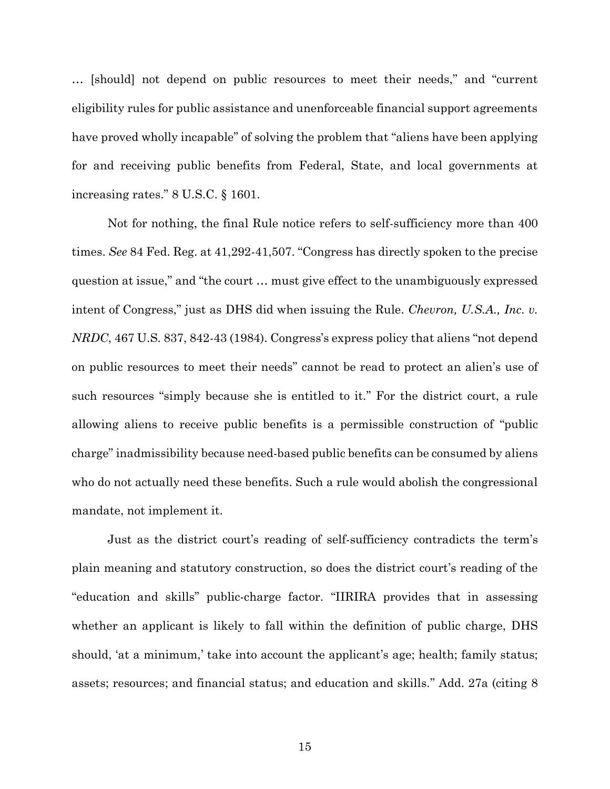… [should] not depend on public resources to meet their needs," and "current eligibility rules for public assistance and unenforceable financial support agreements have proved wholly incapable" of solving the problem that "aliens have been applying for and receiving public benefits from Federal, State, and local governments at increasing rates." 8 U.S.C. § 1601.

Not for nothing, the final Rule notice refers to self-sufficiency more than 400 times. *See* 84 Fed. Reg. at 41,292-41,507. "Congress has directly spoken to the precise question at issue," and "the court … must give effect to the unambiguously expressed intent of Congress," just as DHS did when issuing the Rule. *Chevron, U.S.A., Inc. v. NRDC*, 467 U.S. 837, 842-43 (1984). Congress's express policy that aliens "not depend on public resources to meet their needs" cannot be read to protect an alien's use of such resources "simply because she is entitled to it." For the district court, a rule allowing aliens to receive public benefits is a permissible construction of "public charge" inadmissibility because need-based public benefits can be consumed by aliens who do not actually need these benefits. Such a rule would abolish the congressional mandate, not implement it.

Just as the district court's reading of self-sufficiency contradicts the term's plain meaning and statutory construction, so does the district court's reading of the "education and skills" public-charge factor. "IIRIRA provides that in assessing whether an applicant is likely to fall within the definition of public charge, DHS should, 'at a minimum,' take into account the applicant's age; health; family status; assets; resources; and financial status; and education and skills." Add. 27a (citing 8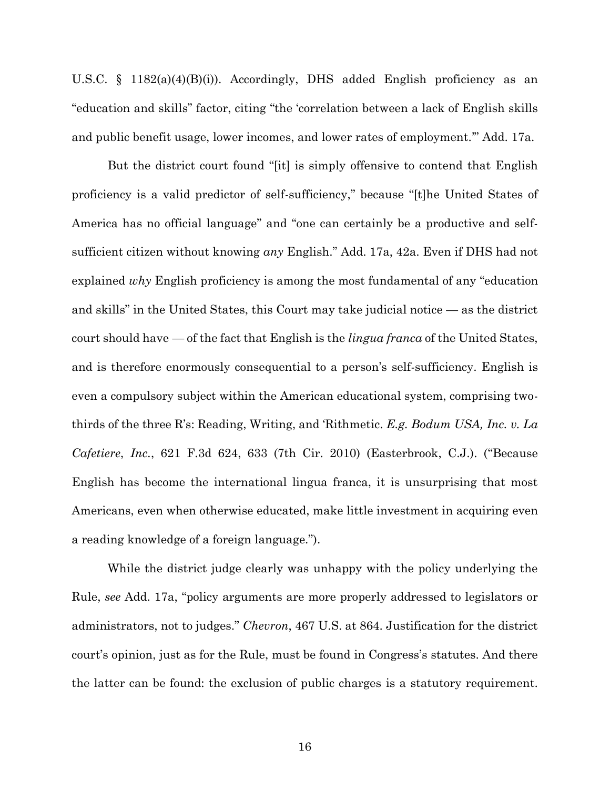U.S.C. § 1182(a)(4)(B)(i)). Accordingly, DHS added English proficiency as an "education and skills" factor, citing "the 'correlation between a lack of English skills and public benefit usage, lower incomes, and lower rates of employment.'" Add. 17a.

But the district court found "[it] is simply offensive to contend that English proficiency is a valid predictor of self-sufficiency," because "[t]he United States of America has no official language" and "one can certainly be a productive and selfsufficient citizen without knowing *any* English." Add. 17a, 42a. Even if DHS had not explained *why* English proficiency is among the most fundamental of any "education and skills" in the United States, this Court may take judicial notice — as the district court should have — of the fact that English is the *lingua franca* of the United States, and is therefore enormously consequential to a person's self-sufficiency. English is even a compulsory subject within the American educational system, comprising twothirds of the three R's: Reading, Writing, and 'Rithmetic. *E.g. Bodum USA, Inc. v. La Cafetiere*, *Inc.*, 621 F.3d 624, 633 (7th Cir. 2010) (Easterbrook, C.J.). ("Because English has become the international lingua franca, it is unsurprising that most Americans, even when otherwise educated, make little investment in acquiring even a reading knowledge of a foreign language.").

While the district judge clearly was unhappy with the policy underlying the Rule, *see* Add. 17a, "policy arguments are more properly addressed to legislators or administrators, not to judges." *Chevron*, 467 U.S. at 864. Justification for the district court's opinion, just as for the Rule, must be found in Congress's statutes. And there the latter can be found: the exclusion of public charges is a statutory requirement.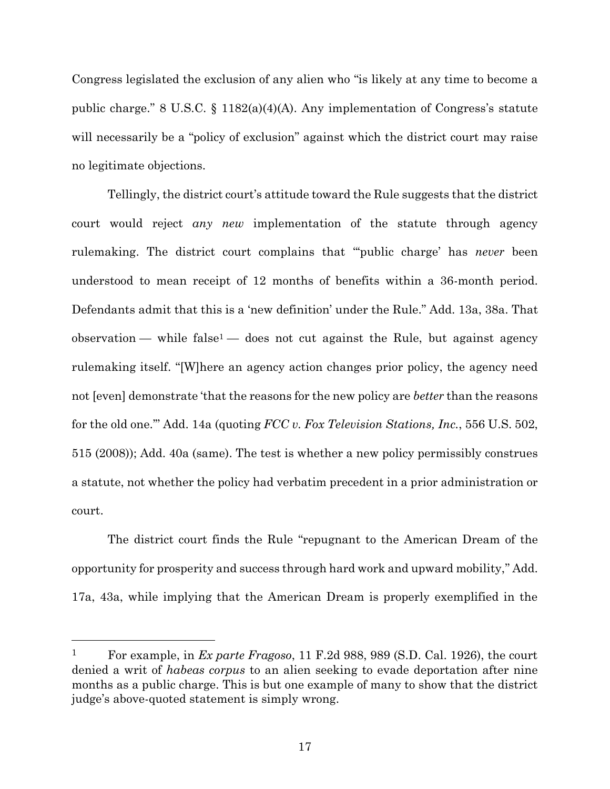Congress legislated the exclusion of any alien who "is likely at any time to become a public charge." 8 U.S.C. § 1182(a)(4)(A). Any implementation of Congress's statute will necessarily be a "policy of exclusion" against which the district court may raise no legitimate objections.

Tellingly, the district court's attitude toward the Rule suggests that the district court would reject *any new* implementation of the statute through agency rulemaking. The district court complains that "'public charge' has *never* been understood to mean receipt of 12 months of benefits within a 36-month period. Defendants admit that this is a 'new definition' under the Rule." Add. 13a, 38a. That  $\alpha$  observation — while false<sup>1</sup> — does not cut against the Rule, but against agency rulemaking itself. "[W]here an agency action changes prior policy, the agency need not [even] demonstrate 'that the reasons for the new policy are *better* than the reasons for the old one.'" Add. 14a (quoting *FCC v. Fox Television Stations, Inc.*, 556 U.S. 502, 515 (2008)); Add. 40a (same). The test is whether a new policy permissibly construes a statute, not whether the policy had verbatim precedent in a prior administration or court.

The district court finds the Rule "repugnant to the American Dream of the opportunity for prosperity and success through hard work and upward mobility," Add. 17a, 43a, while implying that the American Dream is properly exemplified in the

<sup>1</sup> For example, in *Ex parte Fragoso*, 11 F.2d 988, 989 (S.D. Cal. 1926), the court denied a writ of *habeas corpus* to an alien seeking to evade deportation after nine months as a public charge. This is but one example of many to show that the district judge's above-quoted statement is simply wrong.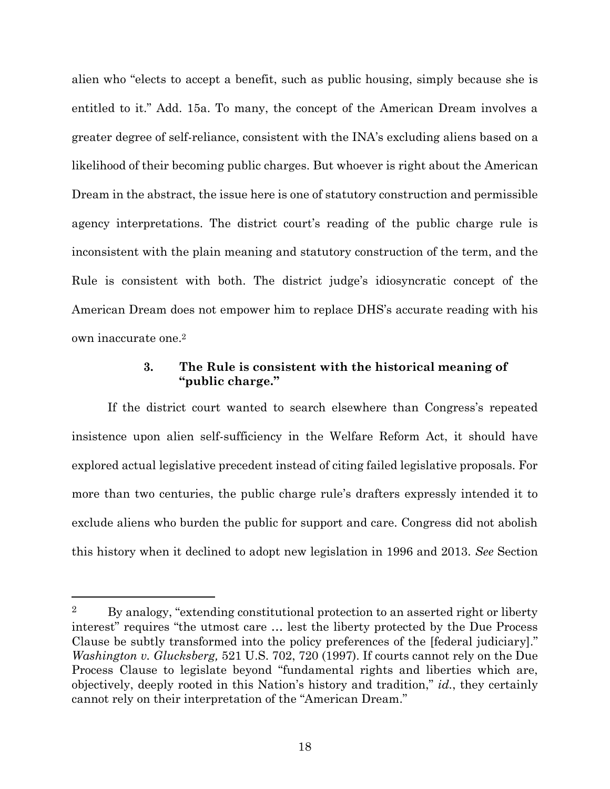alien who "elects to accept a benefit, such as public housing, simply because she is entitled to it." Add. 15a. To many, the concept of the American Dream involves a greater degree of self-reliance, consistent with the INA's excluding aliens based on a likelihood of their becoming public charges. But whoever is right about the American Dream in the abstract, the issue here is one of statutory construction and permissible agency interpretations. The district court's reading of the public charge rule is inconsistent with the plain meaning and statutory construction of the term, and the Rule is consistent with both. The district judge's idiosyncratic concept of the American Dream does not empower him to replace DHS's accurate reading with his own inaccurate one.2

## **3. The Rule is consistent with the historical meaning of "public charge."**

If the district court wanted to search elsewhere than Congress's repeated insistence upon alien self-sufficiency in the Welfare Reform Act, it should have explored actual legislative precedent instead of citing failed legislative proposals. For more than two centuries, the public charge rule's drafters expressly intended it to exclude aliens who burden the public for support and care. Congress did not abolish this history when it declined to adopt new legislation in 1996 and 2013. *See* Section

<sup>&</sup>lt;sup>2</sup> By analogy, "extending constitutional protection to an asserted right or liberty interest" requires "the utmost care … lest the liberty protected by the Due Process Clause be subtly transformed into the policy preferences of the [federal judiciary]." *Washington v. Glucksberg,* 521 U.S. 702, 720 (1997). If courts cannot rely on the Due Process Clause to legislate beyond "fundamental rights and liberties which are, objectively, deeply rooted in this Nation's history and tradition," *id.*, they certainly cannot rely on their interpretation of the "American Dream."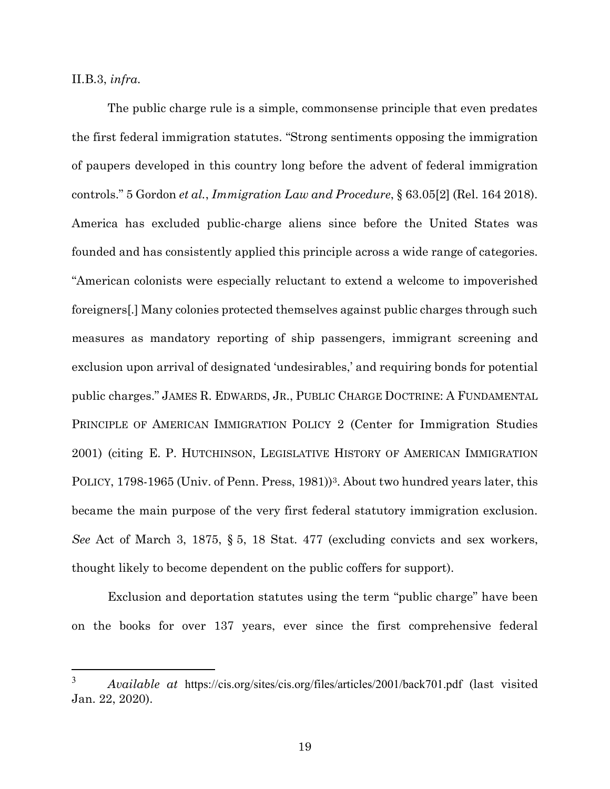II.B.3, *infra*.

The public charge rule is a simple, commonsense principle that even predates the first federal immigration statutes. "Strong sentiments opposing the immigration of paupers developed in this country long before the advent of federal immigration controls." 5 Gordon *et al.*, *Immigration Law and Procedure*, § 63.05[2] (Rel. 164 2018). America has excluded public-charge aliens since before the United States was founded and has consistently applied this principle across a wide range of categories. "American colonists were especially reluctant to extend a welcome to impoverished foreigners[.] Many colonies protected themselves against public charges through such measures as mandatory reporting of ship passengers, immigrant screening and exclusion upon arrival of designated 'undesirables,' and requiring bonds for potential public charges." JAMES R. EDWARDS, JR., PUBLIC CHARGE DOCTRINE: A FUNDAMENTAL PRINCIPLE OF AMERICAN IMMIGRATION POLICY 2 (Center for Immigration Studies 2001) (citing E. P. HUTCHINSON, LEGISLATIVE HISTORY OF AMERICAN IMMIGRATION POLICY, 1798-1965 (Univ. of Penn. Press, 1981))<sup>3</sup>. About two hundred years later, this became the main purpose of the very first federal statutory immigration exclusion. *See* Act of March 3, 1875, § 5, 18 Stat. 477 (excluding convicts and sex workers, thought likely to become dependent on the public coffers for support).

Exclusion and deportation statutes using the term "public charge" have been on the books for over 137 years, ever since the first comprehensive federal

<sup>3</sup> *Available at* https://cis.org/sites/cis.org/files/articles/2001/back701.pdf (last visited Jan. 22, 2020).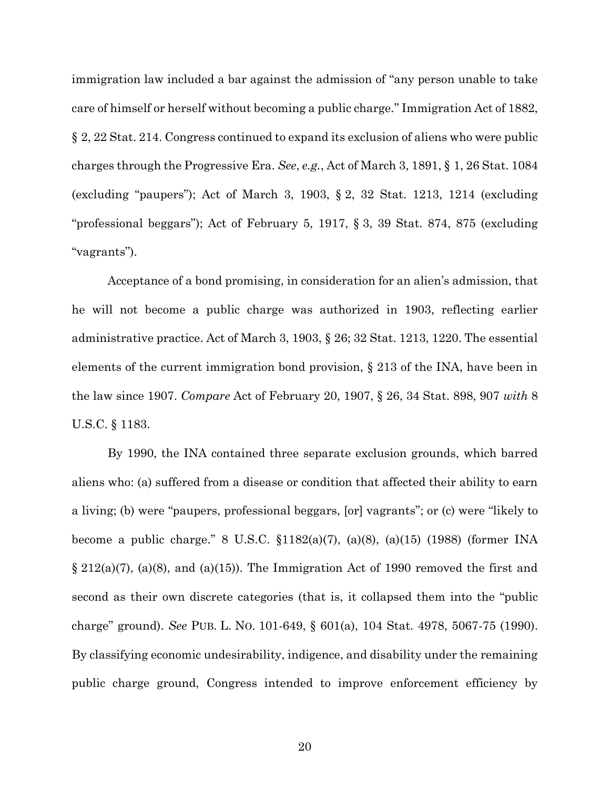immigration law included a bar against the admission of "any person unable to take care of himself or herself without becoming a public charge." Immigration Act of 1882, § 2, 22 Stat. 214. Congress continued to expand its exclusion of aliens who were public charges through the Progressive Era. *See*, *e.g.*, Act of March 3, 1891, § 1, 26 Stat. 1084 (excluding "paupers"); Act of March 3, 1903, § 2, 32 Stat. 1213, 1214 (excluding "professional beggars"); Act of February 5, 1917, § 3, 39 Stat. 874, 875 (excluding "vagrants").

Acceptance of a bond promising, in consideration for an alien's admission, that he will not become a public charge was authorized in 1903, reflecting earlier administrative practice. Act of March 3, 1903, § 26; 32 Stat. 1213, 1220. The essential elements of the current immigration bond provision, § 213 of the INA, have been in the law since 1907. *Compare* Act of February 20, 1907, § 26, 34 Stat. 898, 907 *with* 8 U.S.C. § 1183.

By 1990, the INA contained three separate exclusion grounds, which barred aliens who: (a) suffered from a disease or condition that affected their ability to earn a living; (b) were "paupers, professional beggars, [or] vagrants"; or (c) were "likely to become a public charge." 8 U.S.C. §1182(a)(7), (a)(8), (a)(15) (1988) (former INA  $\S 212(a)(7)$ , (a)(8), and (a)(15)). The Immigration Act of 1990 removed the first and second as their own discrete categories (that is, it collapsed them into the "public charge" ground). *See* PUB. L. NO. 101-649, § 601(a), 104 Stat. 4978, 5067-75 (1990). By classifying economic undesirability, indigence, and disability under the remaining public charge ground, Congress intended to improve enforcement efficiency by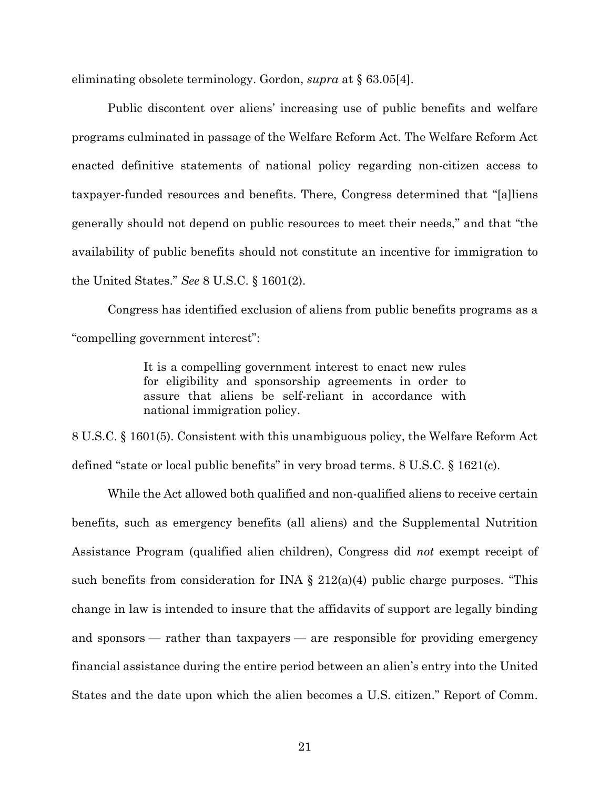eliminating obsolete terminology. Gordon, *supra* at § 63.05[4].

Public discontent over aliens' increasing use of public benefits and welfare programs culminated in passage of the Welfare Reform Act. The Welfare Reform Act enacted definitive statements of national policy regarding non-citizen access to taxpayer-funded resources and benefits. There, Congress determined that "[a]liens generally should not depend on public resources to meet their needs," and that "the availability of public benefits should not constitute an incentive for immigration to the United States." *See* 8 U.S.C. § 1601(2).

Congress has identified exclusion of aliens from public benefits programs as a "compelling government interest":

> It is a compelling government interest to enact new rules for eligibility and sponsorship agreements in order to assure that aliens be self-reliant in accordance with national immigration policy.

8 U.S.C. § 1601(5). Consistent with this unambiguous policy, the Welfare Reform Act defined "state or local public benefits" in very broad terms. 8 U.S.C. § 1621(c).

While the Act allowed both qualified and non-qualified aliens to receive certain benefits, such as emergency benefits (all aliens) and the Supplemental Nutrition Assistance Program (qualified alien children), Congress did *not* exempt receipt of such benefits from consideration for INA  $\S$  212(a)(4) public charge purposes. "This change in law is intended to insure that the affidavits of support are legally binding and sponsors — rather than taxpayers — are responsible for providing emergency financial assistance during the entire period between an alien's entry into the United States and the date upon which the alien becomes a U.S. citizen." Report of Comm.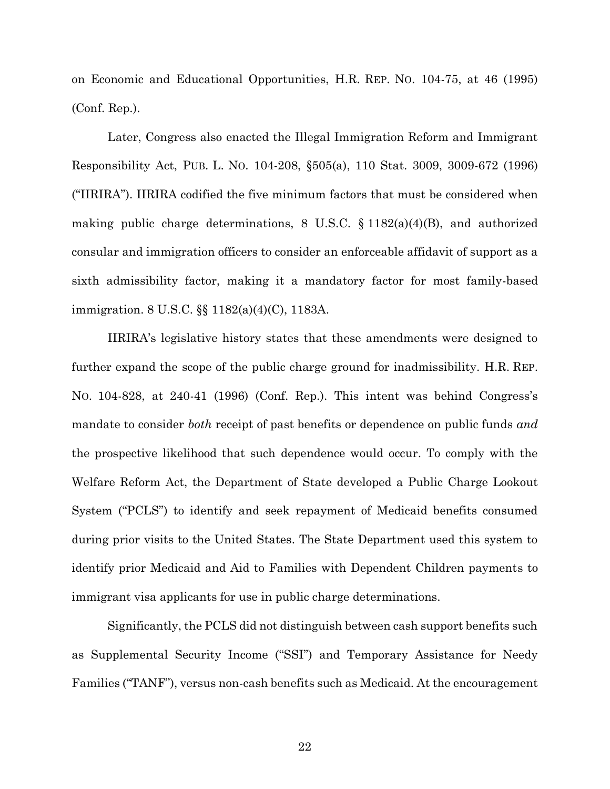on Economic and Educational Opportunities, H.R. REP. NO. 104-75, at 46 (1995) (Conf. Rep.).

Later, Congress also enacted the Illegal Immigration Reform and Immigrant Responsibility Act, PUB. L. NO. 104-208, §505(a), 110 Stat. 3009, 3009-672 (1996) ("IIRIRA"). IIRIRA codified the five minimum factors that must be considered when making public charge determinations, 8 U.S.C. § 1182(a)(4)(B), and authorized consular and immigration officers to consider an enforceable affidavit of support as a sixth admissibility factor, making it a mandatory factor for most family-based immigration. 8 U.S.C. §§ 1182(a)(4)(C), 1183A.

IIRIRA's legislative history states that these amendments were designed to further expand the scope of the public charge ground for inadmissibility. H.R. REP. NO. 104-828, at 240-41 (1996) (Conf. Rep.). This intent was behind Congress's mandate to consider *both* receipt of past benefits or dependence on public funds *and* the prospective likelihood that such dependence would occur. To comply with the Welfare Reform Act, the Department of State developed a Public Charge Lookout System ("PCLS") to identify and seek repayment of Medicaid benefits consumed during prior visits to the United States. The State Department used this system to identify prior Medicaid and Aid to Families with Dependent Children payments to immigrant visa applicants for use in public charge determinations.

Significantly, the PCLS did not distinguish between cash support benefits such as Supplemental Security Income ("SSI") and Temporary Assistance for Needy Families ("TANF"), versus non-cash benefits such as Medicaid. At the encouragement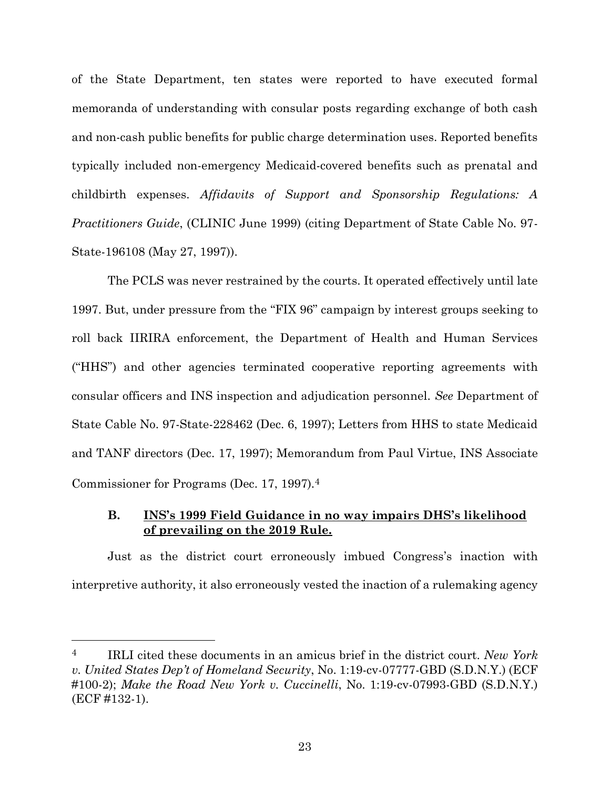of the State Department, ten states were reported to have executed formal memoranda of understanding with consular posts regarding exchange of both cash and non-cash public benefits for public charge determination uses. Reported benefits typically included non-emergency Medicaid-covered benefits such as prenatal and childbirth expenses. *Affidavits of Support and Sponsorship Regulations: A Practitioners Guide*, (CLINIC June 1999) (citing Department of State Cable No. 97- State-196108 (May 27, 1997)).

The PCLS was never restrained by the courts. It operated effectively until late 1997. But, under pressure from the "FIX 96" campaign by interest groups seeking to roll back IIRIRA enforcement, the Department of Health and Human Services ("HHS") and other agencies terminated cooperative reporting agreements with consular officers and INS inspection and adjudication personnel. *See* Department of State Cable No. 97-State-228462 (Dec. 6, 1997); Letters from HHS to state Medicaid and TANF directors (Dec. 17, 1997); Memorandum from Paul Virtue, INS Associate Commissioner for Programs (Dec. 17, 1997).4

# **B. INS's 1999 Field Guidance in no way impairs DHS's likelihood of prevailing on the 2019 Rule.**

Just as the district court erroneously imbued Congress's inaction with interpretive authority, it also erroneously vested the inaction of a rulemaking agency

<sup>4</sup> IRLI cited these documents in an amicus brief in the district court. *New York v. United States Dep't of Homeland Security*, No. 1:19-cv-07777-GBD (S.D.N.Y.) (ECF #100-2); *Make the Road New York v. Cuccinelli*, No. 1:19-cv-07993-GBD (S.D.N.Y.) (ECF #132-1).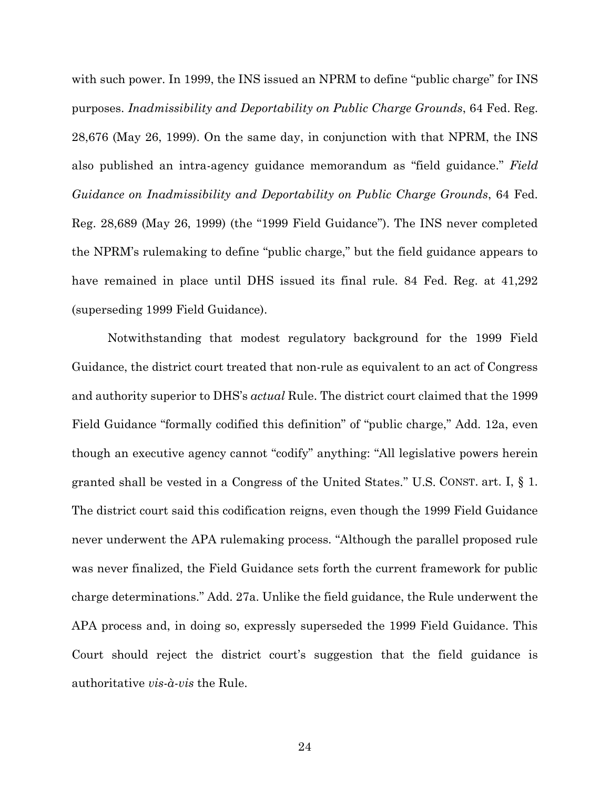with such power. In 1999, the INS issued an NPRM to define "public charge" for INS purposes. *Inadmissibility and Deportability on Public Charge Grounds*, 64 Fed. Reg. 28,676 (May 26, 1999). On the same day, in conjunction with that NPRM, the INS also published an intra-agency guidance memorandum as "field guidance." *Field Guidance on Inadmissibility and Deportability on Public Charge Grounds*, 64 Fed. Reg. 28,689 (May 26, 1999) (the "1999 Field Guidance"). The INS never completed the NPRM's rulemaking to define "public charge," but the field guidance appears to have remained in place until DHS issued its final rule. 84 Fed. Reg. at 41,292 (superseding 1999 Field Guidance).

Notwithstanding that modest regulatory background for the 1999 Field Guidance, the district court treated that non-rule as equivalent to an act of Congress and authority superior to DHS's *actual* Rule. The district court claimed that the 1999 Field Guidance "formally codified this definition" of "public charge," Add. 12a, even though an executive agency cannot "codify" anything: "All legislative powers herein granted shall be vested in a Congress of the United States." U.S. CONST. art. I, § 1. The district court said this codification reigns, even though the 1999 Field Guidance never underwent the APA rulemaking process. "Although the parallel proposed rule was never finalized, the Field Guidance sets forth the current framework for public charge determinations." Add. 27a. Unlike the field guidance, the Rule underwent the APA process and, in doing so, expressly superseded the 1999 Field Guidance. This Court should reject the district court's suggestion that the field guidance is authoritative *vis-à-vis* the Rule.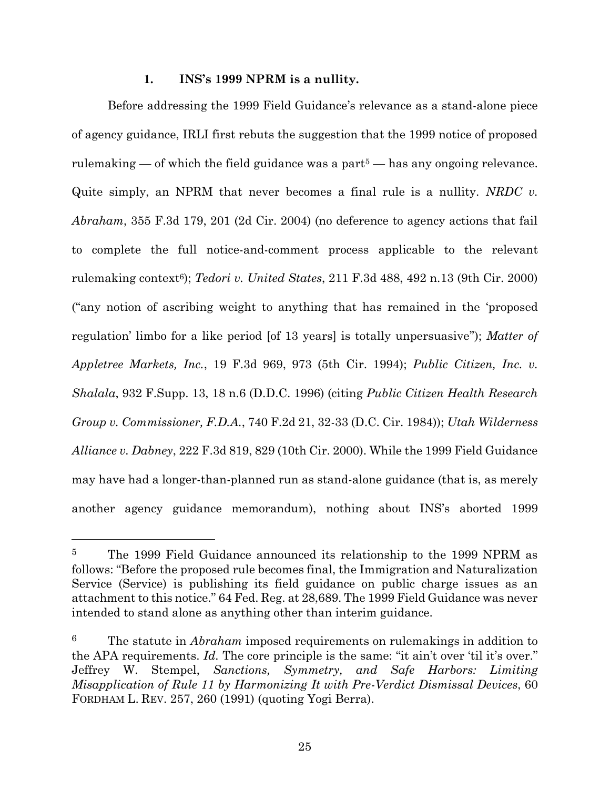### **1. INS's 1999 NPRM is a nullity.**

Before addressing the 1999 Field Guidance's relevance as a stand-alone piece of agency guidance, IRLI first rebuts the suggestion that the 1999 notice of proposed rulemaking — of which the field guidance was a part<sup> $5$ </sup> — has any ongoing relevance. Quite simply, an NPRM that never becomes a final rule is a nullity. *NRDC v. Abraham*, 355 F.3d 179, 201 (2d Cir. 2004) (no deference to agency actions that fail to complete the full notice-and-comment process applicable to the relevant rulemaking context6); *Tedori v. United States*, 211 F.3d 488, 492 n.13 (9th Cir. 2000) ("any notion of ascribing weight to anything that has remained in the 'proposed regulation' limbo for a like period [of 13 years] is totally unpersuasive"); *Matter of Appletree Markets, Inc.*, 19 F.3d 969, 973 (5th Cir. 1994); *Public Citizen, Inc. v. Shalala*, 932 F.Supp. 13, 18 n.6 (D.D.C. 1996) (citing *Public Citizen Health Research Group v. Commissioner, F.D.A.*, 740 F.2d 21, 32-33 (D.C. Cir. 1984)); *Utah Wilderness Alliance v. Dabney*, 222 F.3d 819, 829 (10th Cir. 2000). While the 1999 Field Guidance may have had a longer-than-planned run as stand-alone guidance (that is, as merely another agency guidance memorandum), nothing about INS's aborted 1999

<sup>5</sup> The 1999 Field Guidance announced its relationship to the 1999 NPRM as follows: "Before the proposed rule becomes final, the Immigration and Naturalization Service (Service) is publishing its field guidance on public charge issues as an attachment to this notice." 64 Fed. Reg. at 28,689. The 1999 Field Guidance was never intended to stand alone as anything other than interim guidance.

<sup>6</sup> The statute in *Abraham* imposed requirements on rulemakings in addition to the APA requirements. *Id.* The core principle is the same: "it ain't over 'til it's over." Jeffrey W. Stempel, *Sanctions, Symmetry, and Safe Harbors: Limiting Misapplication of Rule 11 by Harmonizing It with Pre-Verdict Dismissal Devices*, 60 FORDHAM L. REV. 257, 260 (1991) (quoting Yogi Berra).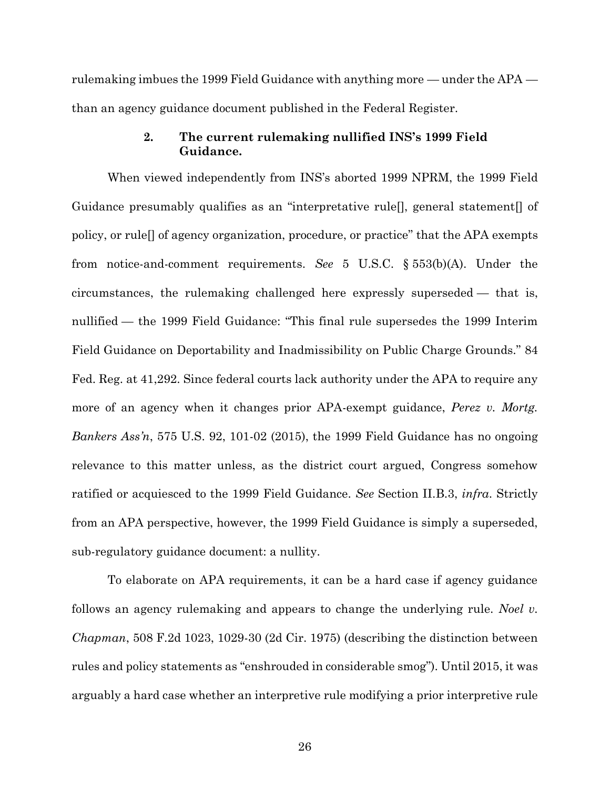rulemaking imbues the 1999 Field Guidance with anything more — under the APA than an agency guidance document published in the Federal Register.

## **2. The current rulemaking nullified INS's 1999 Field Guidance.**

When viewed independently from INS's aborted 1999 NPRM, the 1999 Field Guidance presumably qualifies as an "interpretative rule[], general statement[] of policy, or rule[] of agency organization, procedure, or practice" that the APA exempts from notice-and-comment requirements. *See* 5 U.S.C. § 553(b)(A). Under the circumstances, the rulemaking challenged here expressly superseded — that is, nullified — the 1999 Field Guidance: "This final rule supersedes the 1999 Interim Field Guidance on Deportability and Inadmissibility on Public Charge Grounds." 84 Fed. Reg. at 41,292. Since federal courts lack authority under the APA to require any more of an agency when it changes prior APA-exempt guidance, *Perez v. Mortg. Bankers Ass'n*, 575 U.S. 92, 101-02 (2015), the 1999 Field Guidance has no ongoing relevance to this matter unless, as the district court argued, Congress somehow ratified or acquiesced to the 1999 Field Guidance. *See* Section II.B.3, *infra*. Strictly from an APA perspective, however, the 1999 Field Guidance is simply a superseded, sub-regulatory guidance document: a nullity.

To elaborate on APA requirements, it can be a hard case if agency guidance follows an agency rulemaking and appears to change the underlying rule. *Noel v. Chapman*, 508 F.2d 1023, 1029-30 (2d Cir. 1975) (describing the distinction between rules and policy statements as "enshrouded in considerable smog"). Until 2015, it was arguably a hard case whether an interpretive rule modifying a prior interpretive rule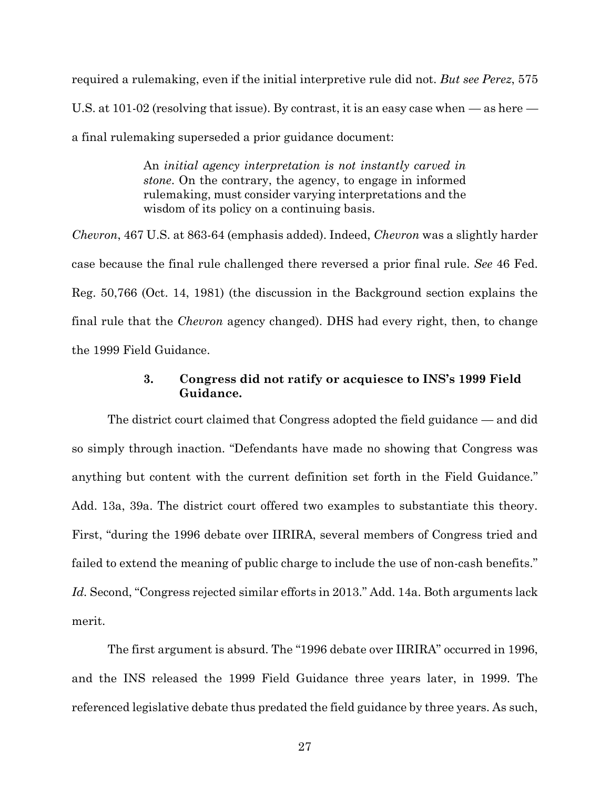required a rulemaking, even if the initial interpretive rule did not. *But see Perez*, 575 U.S. at 101-02 (resolving that issue). By contrast, it is an easy case when — as here a final rulemaking superseded a prior guidance document:

> An *initial agency interpretation is not instantly carved in stone*. On the contrary, the agency, to engage in informed rulemaking, must consider varying interpretations and the wisdom of its policy on a continuing basis.

*Chevron*, 467 U.S. at 863-64 (emphasis added). Indeed, *Chevron* was a slightly harder case because the final rule challenged there reversed a prior final rule. *See* 46 Fed. Reg. 50,766 (Oct. 14, 1981) (the discussion in the Background section explains the final rule that the *Chevron* agency changed). DHS had every right, then, to change the 1999 Field Guidance.

# **3. Congress did not ratify or acquiesce to INS's 1999 Field Guidance.**

The district court claimed that Congress adopted the field guidance — and did so simply through inaction. "Defendants have made no showing that Congress was anything but content with the current definition set forth in the Field Guidance." Add. 13a, 39a. The district court offered two examples to substantiate this theory. First, "during the 1996 debate over IIRIRA, several members of Congress tried and failed to extend the meaning of public charge to include the use of non-cash benefits." *Id.* Second, "Congress rejected similar efforts in 2013." Add. 14a. Both arguments lack merit.

The first argument is absurd. The "1996 debate over IIRIRA" occurred in 1996, and the INS released the 1999 Field Guidance three years later, in 1999. The referenced legislative debate thus predated the field guidance by three years. As such,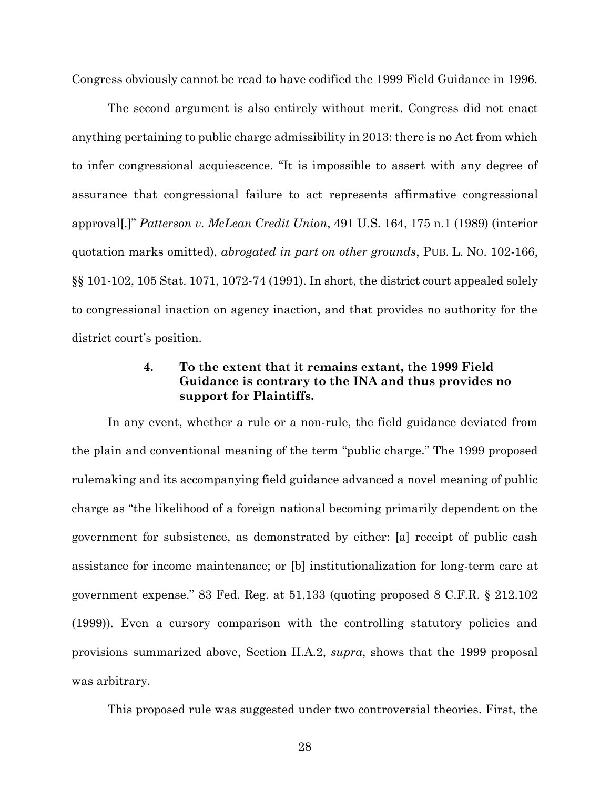Congress obviously cannot be read to have codified the 1999 Field Guidance in 1996.

The second argument is also entirely without merit. Congress did not enact anything pertaining to public charge admissibility in 2013: there is no Act from which to infer congressional acquiescence. "It is impossible to assert with any degree of assurance that congressional failure to act represents affirmative congressional approval[.]" *Patterson v. McLean Credit Union*, 491 U.S. 164, 175 n.1 (1989) (interior quotation marks omitted), *abrogated in part on other grounds*, PUB. L. NO. 102-166, §§ 101-102, 105 Stat. 1071, 1072-74 (1991). In short, the district court appealed solely to congressional inaction on agency inaction, and that provides no authority for the district court's position.

# **4. To the extent that it remains extant, the 1999 Field Guidance is contrary to the INA and thus provides no support for Plaintiffs.**

In any event, whether a rule or a non-rule, the field guidance deviated from the plain and conventional meaning of the term "public charge." The 1999 proposed rulemaking and its accompanying field guidance advanced a novel meaning of public charge as "the likelihood of a foreign national becoming primarily dependent on the government for subsistence, as demonstrated by either: [a] receipt of public cash assistance for income maintenance; or [b] institutionalization for long-term care at government expense." 83 Fed. Reg. at 51,133 (quoting proposed 8 C.F.R. § 212.102 (1999)). Even a cursory comparison with the controlling statutory policies and provisions summarized above, Section II.A.2, *supra*, shows that the 1999 proposal was arbitrary.

This proposed rule was suggested under two controversial theories. First, the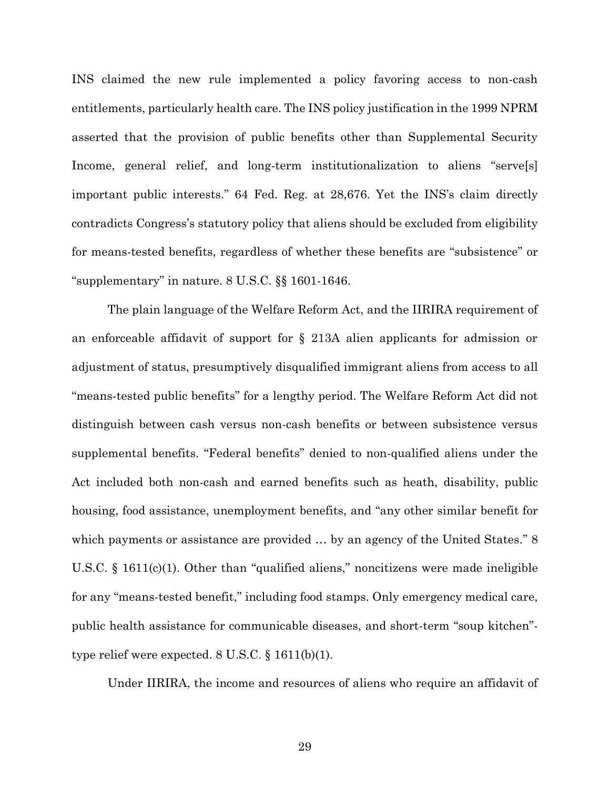INS claimed the new rule implemented a policy favoring access to non-cash entitlements, particularly health care. The INS policy justification in the 1999 NPRM asserted that the provision of public benefits other than Supplemental Security Income, general relief, and long-term institutionalization to aliens "serve[s] important public interests." 64 Fed. Reg. at 28,676. Yet the INS's claim directly contradicts Congress's statutory policy that aliens should be excluded from eligibility for means-tested benefits, regardless of whether these benefits are "subsistence" or "supplementary" in nature. 8 U.S.C. §§ 1601-1646.

The plain language of the Welfare Reform Act, and the IIRIRA requirement of an enforceable affidavit of support for § 213A alien applicants for admission or adjustment of status, presumptively disqualified immigrant aliens from access to all "means-tested public benefits" for a lengthy period. The Welfare Reform Act did not distinguish between cash versus non-cash benefits or between subsistence versus supplemental benefits. "Federal benefits" denied to non-qualified aliens under the Act included both non-cash and earned benefits such as heath, disability, public housing, food assistance, unemployment benefits, and "any other similar benefit for which payments or assistance are provided ... by an agency of the United States." 8 U.S.C. § 1611(c)(1). Other than "qualified aliens," noncitizens were made ineligible for any "means-tested benefit," including food stamps. Only emergency medical care, public health assistance for communicable diseases, and short-term "soup kitchen" type relief were expected. 8 U.S.C. § 1611(b)(1).

Under IIRIRA, the income and resources of aliens who require an affidavit of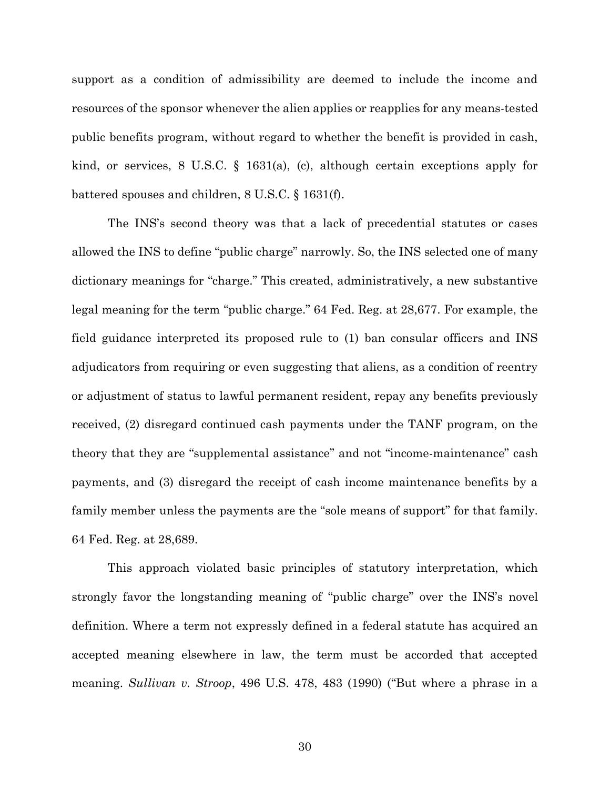support as a condition of admissibility are deemed to include the income and resources of the sponsor whenever the alien applies or reapplies for any means-tested public benefits program, without regard to whether the benefit is provided in cash, kind, or services, 8 U.S.C. § 1631(a), (c), although certain exceptions apply for battered spouses and children, 8 U.S.C. § 1631(f).

The INS's second theory was that a lack of precedential statutes or cases allowed the INS to define "public charge" narrowly. So, the INS selected one of many dictionary meanings for "charge." This created, administratively, a new substantive legal meaning for the term "public charge." 64 Fed. Reg. at 28,677. For example, the field guidance interpreted its proposed rule to (1) ban consular officers and INS adjudicators from requiring or even suggesting that aliens, as a condition of reentry or adjustment of status to lawful permanent resident, repay any benefits previously received, (2) disregard continued cash payments under the TANF program, on the theory that they are "supplemental assistance" and not "income-maintenance" cash payments, and (3) disregard the receipt of cash income maintenance benefits by a family member unless the payments are the "sole means of support" for that family. 64 Fed. Reg. at 28,689.

This approach violated basic principles of statutory interpretation, which strongly favor the longstanding meaning of "public charge" over the INS's novel definition. Where a term not expressly defined in a federal statute has acquired an accepted meaning elsewhere in law, the term must be accorded that accepted meaning. *Sullivan v. Stroop*, 496 U.S. 478, 483 (1990) ("But where a phrase in a

30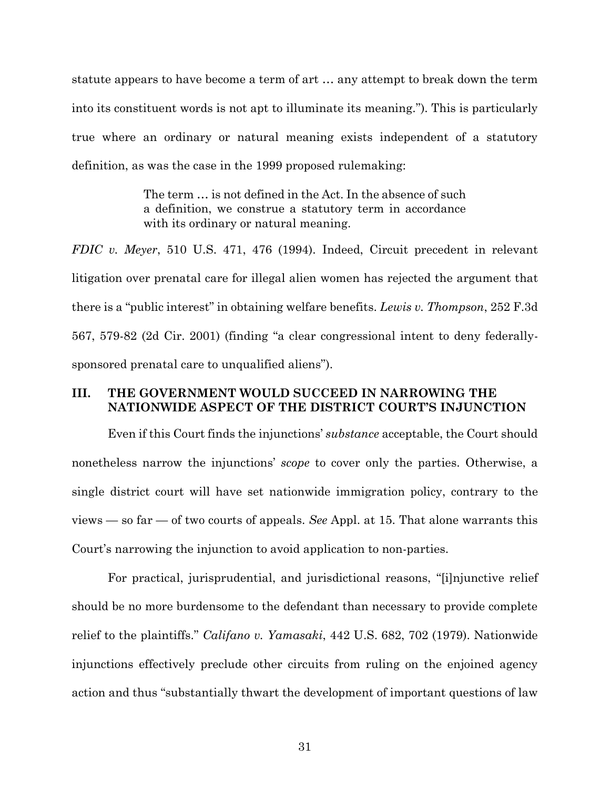statute appears to have become a term of art … any attempt to break down the term into its constituent words is not apt to illuminate its meaning."). This is particularly true where an ordinary or natural meaning exists independent of a statutory definition, as was the case in the 1999 proposed rulemaking:

> The term … is not defined in the Act. In the absence of such a definition, we construe a statutory term in accordance with its ordinary or natural meaning.

*FDIC v. Meyer*, 510 U.S. 471, 476 (1994). Indeed, Circuit precedent in relevant litigation over prenatal care for illegal alien women has rejected the argument that there is a "public interest" in obtaining welfare benefits. *Lewis v. Thompson*, 252 F.3d 567, 579-82 (2d Cir. 2001) (finding "a clear congressional intent to deny federallysponsored prenatal care to unqualified aliens").

# **III. THE GOVERNMENT WOULD SUCCEED IN NARROWING THE NATIONWIDE ASPECT OF THE DISTRICT COURT'S INJUNCTION**

Even if this Court finds the injunctions' *substance* acceptable, the Court should nonetheless narrow the injunctions' *scope* to cover only the parties. Otherwise, a single district court will have set nationwide immigration policy, contrary to the views — so far — of two courts of appeals. *See* Appl. at 15. That alone warrants this Court's narrowing the injunction to avoid application to non-parties.

For practical, jurisprudential, and jurisdictional reasons, "[i]njunctive relief should be no more burdensome to the defendant than necessary to provide complete relief to the plaintiffs." *Califano v. Yamasaki*, 442 U.S. 682, 702 (1979). Nationwide injunctions effectively preclude other circuits from ruling on the enjoined agency action and thus "substantially thwart the development of important questions of law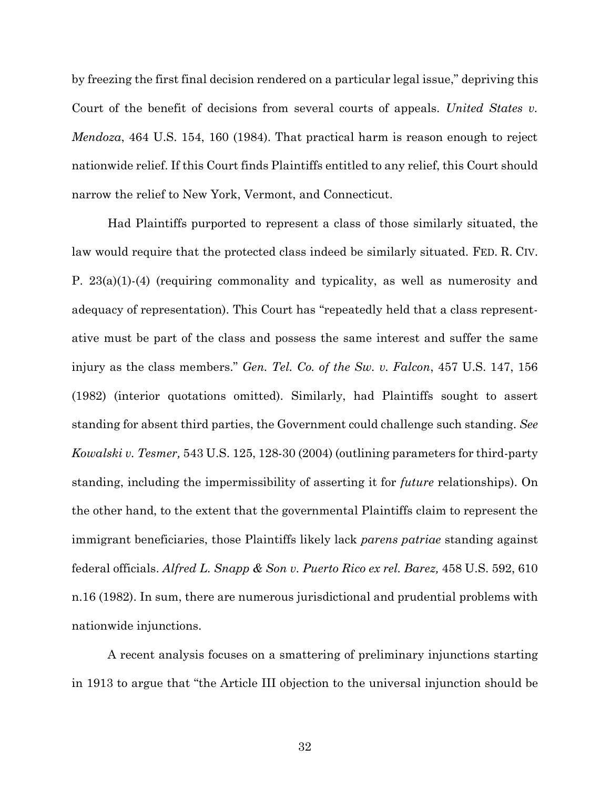by freezing the first final decision rendered on a particular legal issue," depriving this Court of the benefit of decisions from several courts of appeals. *United States v. Mendoza*, 464 U.S. 154, 160 (1984). That practical harm is reason enough to reject nationwide relief. If this Court finds Plaintiffs entitled to any relief, this Court should narrow the relief to New York, Vermont, and Connecticut.

Had Plaintiffs purported to represent a class of those similarly situated, the law would require that the protected class indeed be similarly situated. FED. R. CIV. P. 23(a)(1)-(4) (requiring commonality and typicality, as well as numerosity and adequacy of representation). This Court has "repeatedly held that a class representative must be part of the class and possess the same interest and suffer the same injury as the class members." *Gen. Tel. Co. of the Sw. v. Falcon*, 457 U.S. 147, 156 (1982) (interior quotations omitted). Similarly, had Plaintiffs sought to assert standing for absent third parties, the Government could challenge such standing. *See Kowalski v. Tesmer,* 543 U.S. 125, 128-30 (2004) (outlining parameters for third-party standing, including the impermissibility of asserting it for *future* relationships). On the other hand, to the extent that the governmental Plaintiffs claim to represent the immigrant beneficiaries, those Plaintiffs likely lack *parens patriae* standing against federal officials. *Alfred L. Snapp & Son v. Puerto Rico ex rel. Barez,* 458 U.S. 592, 610 n.16 (1982). In sum, there are numerous jurisdictional and prudential problems with nationwide injunctions.

A recent analysis focuses on a smattering of preliminary injunctions starting in 1913 to argue that "the Article III objection to the universal injunction should be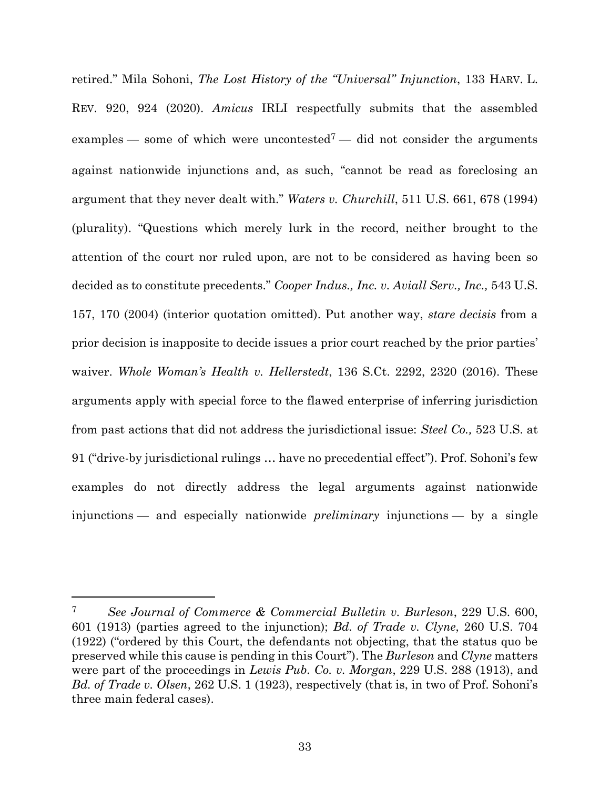retired." Mila Sohoni, *The Lost History of the "Universal" Injunction*, 133 HARV. L. REV. 920, 924 (2020). *Amicus* IRLI respectfully submits that the assembled examples — some of which were uncontested<sup>7</sup> — did not consider the arguments against nationwide injunctions and, as such, "cannot be read as foreclosing an argument that they never dealt with." *Waters v. Churchill*, 511 U.S. 661, 678 (1994) (plurality). "Questions which merely lurk in the record, neither brought to the attention of the court nor ruled upon, are not to be considered as having been so decided as to constitute precedents." *Cooper Indus., Inc. v. Aviall Serv., Inc.,* 543 U.S. 157, 170 (2004) (interior quotation omitted). Put another way, *stare decisis* from a prior decision is inapposite to decide issues a prior court reached by the prior parties' waiver. *Whole Woman's Health v. Hellerstedt*, 136 S.Ct. 2292, 2320 (2016). These arguments apply with special force to the flawed enterprise of inferring jurisdiction from past actions that did not address the jurisdictional issue: *Steel Co.,* 523 U.S. at 91 ("drive-by jurisdictional rulings … have no precedential effect"). Prof. Sohoni's few examples do not directly address the legal arguments against nationwide injunctions — and especially nationwide *preliminary* injunctions — by a single

<sup>7</sup> *See Journal of Commerce & Commercial Bulletin v. Burleson*, 229 U.S. 600, 601 (1913) (parties agreed to the injunction); *Bd. of Trade v. Clyne*, 260 U.S. 704 (1922) ("ordered by this Court, the defendants not objecting, that the status quo be preserved while this cause is pending in this Court"). The *Burleson* and *Clyne* matters were part of the proceedings in *Lewis Pub. Co. v. Morgan*, 229 U.S. 288 (1913), and *Bd. of Trade v. Olsen*, 262 U.S. 1 (1923), respectively (that is, in two of Prof. Sohoni's three main federal cases).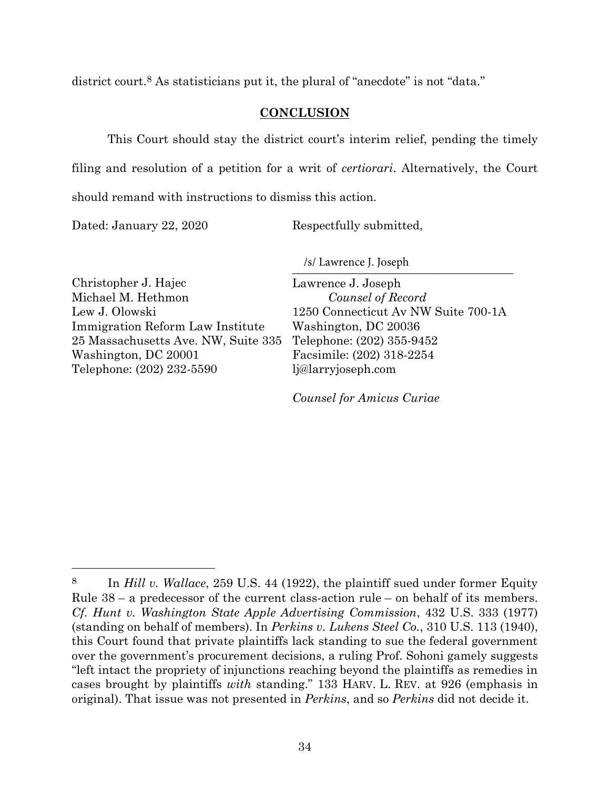district court.<sup>8</sup> As statisticians put it, the plural of "anecdote" is not "data."

### **CONCLUSION**

This Court should stay the district court's interim relief, pending the timely filing and resolution of a petition for a writ of *certiorari*. Alternatively, the Court

should remand with instructions to dismiss this action.

Dated: January 22, 2020

Respectfully submitted,

 $\frac{1}{2}$ /s/ Lawrence J. Joseph

Christopher J. Hajec Michael M. Hethmon Lew J. Olowski Immigration Reform Law Institute 25 Massachusetts Ave. NW, Suite 335 Washington, DC 20001 Telephone: (202) 232-5590

Lawrence J. Joseph *Counsel of Record* 1250 Connecticut Av NW Suite 700-1A Washington, DC 20036 Telephone: (202) 355-9452 Facsimile: (202) 318-2254 lj@larryjoseph.com

*Counsel for Amicus Curiae* 

<sup>8</sup> In *Hill v. Wallace*, 259 U.S. 44 (1922), the plaintiff sued under former Equity Rule 38 – a predecessor of the current class-action rule – on behalf of its members. *Cf. Hunt v. Washington State Apple Advertising Commission*, 432 U.S. 333 (1977) (standing on behalf of members). In *Perkins v. Lukens Steel Co.*, 310 U.S. 113 (1940), this Court found that private plaintiffs lack standing to sue the federal government over the government's procurement decisions, a ruling Prof. Sohoni gamely suggests "left intact the propriety of injunctions reaching beyond the plaintiffs as remedies in cases brought by plaintiffs *with* standing." 133 HARV. L. REV. at 926 (emphasis in original). That issue was not presented in *Perkins*, and so *Perkins* did not decide it.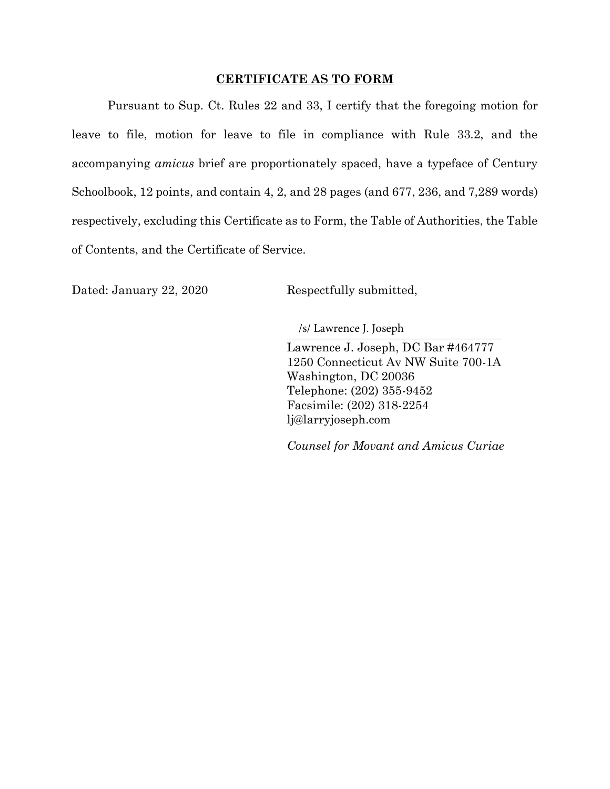#### **CERTIFICATE AS TO FORM**

Pursuant to Sup. Ct. Rules 22 and 33, I certify that the foregoing motion for leave to file, motion for leave to file in compliance with Rule 33.2, and the accompanying *amicus* brief are proportionately spaced, have a typeface of Century Schoolbook, 12 points, and contain 4, 2, and 28 pages (and 677, 236, and 7,289 words) respectively, excluding this Certificate as to Form, the Table of Authorities, the Table of Contents, and the Certificate of Service.

Dated: January 22, 2020 Respectfully submitted,

/s/ Lawrence J. Joseph

Lawrence J. Joseph, DC Bar #464777 1250 Connecticut Av NW Suite 700-1A Washington, DC 20036 Telephone: (202) 355-9452 Facsimile: (202) 318-2254 lj@larryjoseph.com

*Counsel for Movant and Amicus Curiae*